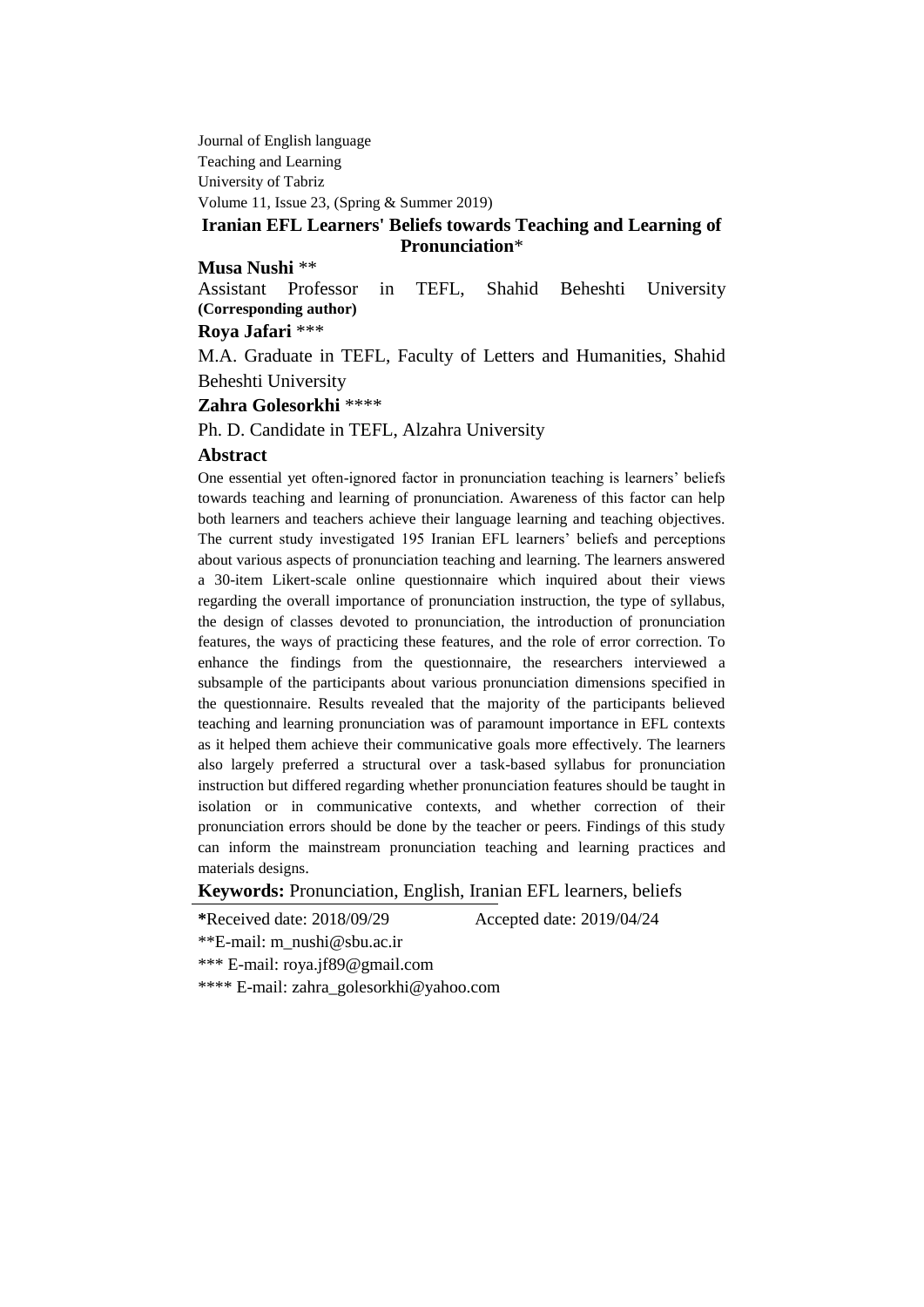Journal of English language Teaching and Learning University of Tabriz Volume 11, Issue 23, (Spring & Summer 2019)

## **Iranian EFL Learners' Beliefs towards Teaching and Learning of Pronunciation**\*

### **Musa Nushi** \*\*

Assistant Professor in TEFL, Shahid Beheshti University **(Corresponding author)**

### **Roya Jafari** \*\*\*

M.A. Graduate in TEFL, Faculty of Letters and Humanities, Shahid Beheshti University

**Zahra Golesorkhi** \*\*\*\*

Ph. D. Candidate in TEFL, Alzahra University

#### **Abstract**

One essential yet often-ignored factor in pronunciation teaching is learners' beliefs towards teaching and learning of pronunciation. Awareness of this factor can help both learners and teachers achieve their language learning and teaching objectives. The current study investigated 195 Iranian EFL learners' beliefs and perceptions about various aspects of pronunciation teaching and learning. The learners answered a 30-item Likert-scale online questionnaire which inquired about their views regarding the overall importance of pronunciation instruction, the type of syllabus, the design of classes devoted to pronunciation, the introduction of pronunciation features, the ways of practicing these features, and the role of error correction. To enhance the findings from the questionnaire, the researchers interviewed a subsample of the participants about various pronunciation dimensions specified in the questionnaire. Results revealed that the majority of the participants believed teaching and learning pronunciation was of paramount importance in EFL contexts as it helped them achieve their communicative goals more effectively. The learners also largely preferred a structural over a task-based syllabus for pronunciation instruction but differed regarding whether pronunciation features should be taught in isolation or in communicative contexts, and whether correction of their pronunciation errors should be done by the teacher or peers. Findings of this study can inform the mainstream pronunciation teaching and learning practices and materials designs.

**Keywords:** Pronunciation, English, Iranian EFL learners, beliefs

**\***Received date: 2018/09/29 Accepted date: 2019/04/24

\*\*E-mail: m\_nushi@sbu.ac.ir

\*\*\* E-mail: roya.jf89@gmail.com

\*\*\*\* E-mail: zahra\_golesorkhi@yahoo.com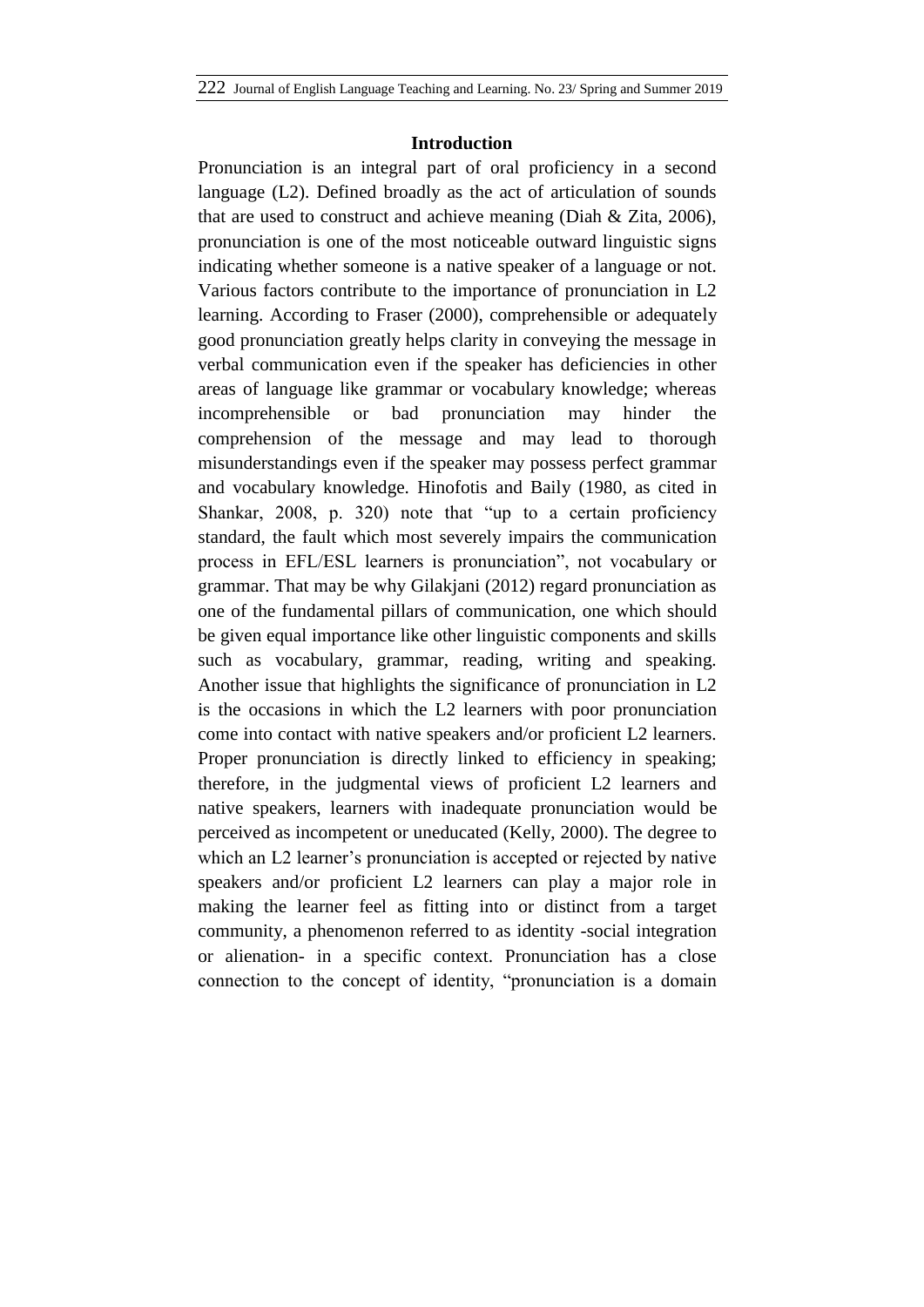#### **Introduction**

Pronunciation is an integral part of oral proficiency in a second language (L2). Defined broadly as the act of articulation of sounds that are used to construct and achieve meaning (Diah & Zita, 2006), pronunciation is one of the most noticeable outward linguistic signs indicating whether someone is a native speaker of a language or not. Various factors contribute to the importance of pronunciation in L2 learning. According to Fraser (2000), comprehensible or adequately good pronunciation greatly helps clarity in conveying the message in verbal communication even if the speaker has deficiencies in other areas of language like grammar or vocabulary knowledge; whereas incomprehensible or bad pronunciation may hinder the comprehension of the message and may lead to thorough misunderstandings even if the speaker may possess perfect grammar and vocabulary knowledge. Hinofotis and Baily (1980, as cited in Shankar, 2008, p. 320) note that "up to a certain proficiency standard, the fault which most severely impairs the communication process in EFL/ESL learners is pronunciation", not vocabulary or grammar. That may be why Gilakjani (2012) regard pronunciation as one of the fundamental pillars of communication, one which should be given equal importance like other linguistic components and skills such as vocabulary, grammar, reading, writing and speaking. Another issue that highlights the significance of pronunciation in L2 is the occasions in which the L2 learners with poor pronunciation come into contact with native speakers and/or proficient L2 learners. Proper pronunciation is directly linked to efficiency in speaking; therefore, in the judgmental views of proficient L2 learners and native speakers, learners with inadequate pronunciation would be perceived as incompetent or uneducated (Kelly, 2000). The degree to which an L<sub>2</sub> learner's pronunciation is accepted or rejected by native speakers and/or proficient L2 learners can play a major role in making the learner feel as fitting into or distinct from a target community, a phenomenon referred to as identity -social integration or alienation- in a specific context. Pronunciation has a close connection to the concept of identity, "pronunciation is a domain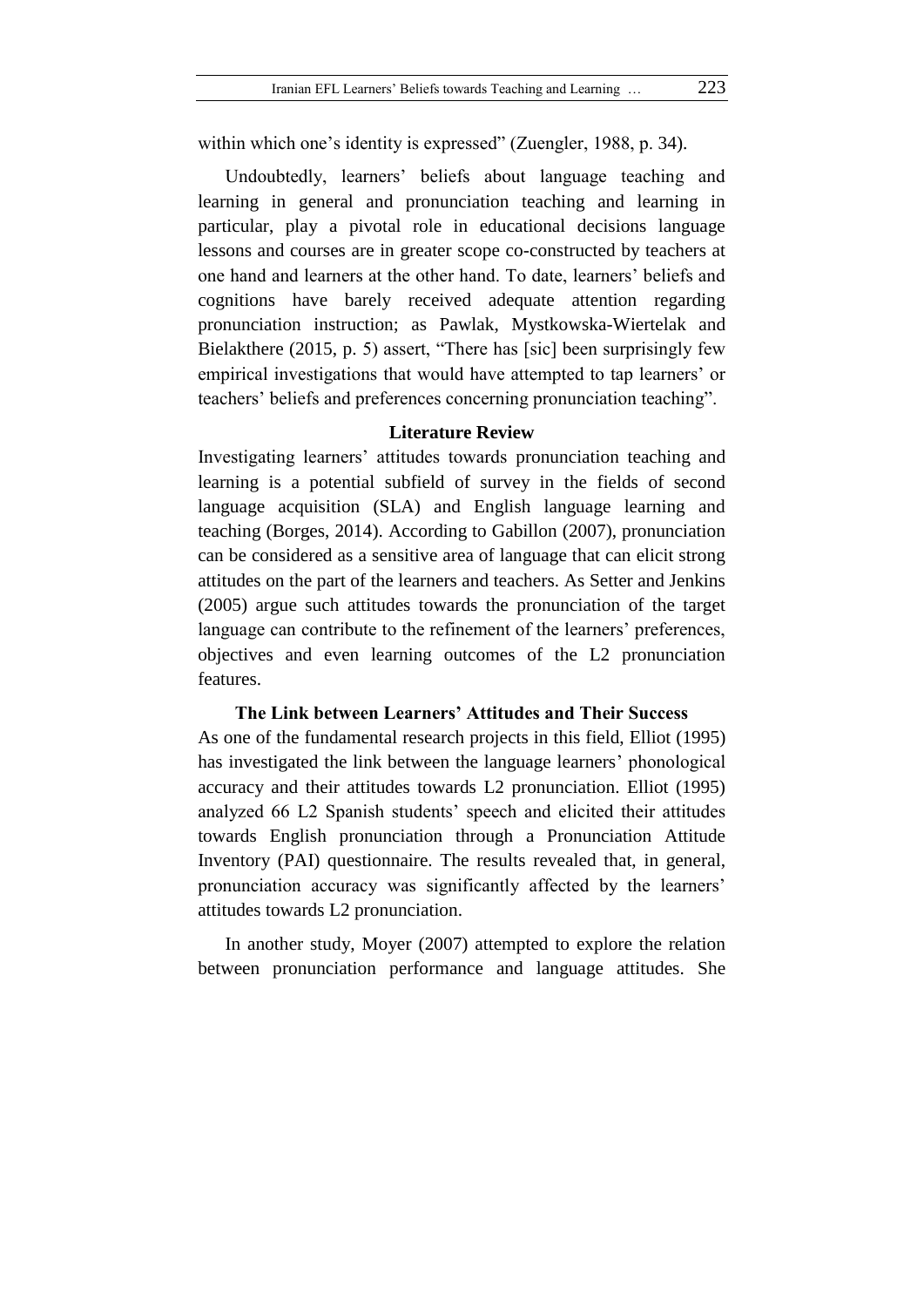within which one's identity is expressed" (Zuengler, 1988, p. 34).

Undoubtedly, learners' beliefs about language teaching and learning in general and pronunciation teaching and learning in particular, play a pivotal role in educational decisions language lessons and courses are in greater scope co-constructed by teachers at one hand and learners at the other hand. To date, learners' beliefs and cognitions have barely received adequate attention regarding pronunciation instruction; as Pawlak, Mystkowska-Wiertelak and Bielakthere (2015, p. 5) assert, "There has [sic] been surprisingly few empirical investigations that would have attempted to tap learners' or teachers' beliefs and preferences concerning pronunciation teaching".

## **Literature Review**

Investigating learners' attitudes towards pronunciation teaching and learning is a potential subfield of survey in the fields of second language acquisition (SLA) and English language learning and teaching (Borges, 2014). According to Gabillon (2007), pronunciation can be considered as a sensitive area of language that can elicit strong attitudes on the part of the learners and teachers. As Setter and Jenkins (2005) argue such attitudes towards the pronunciation of the target language can contribute to the refinement of the learners' preferences, objectives and even learning outcomes of the L2 pronunciation features.

## **The Link between Learners' Attitudes and Their Success**

As one of the fundamental research projects in this field, Elliot (1995) has investigated the link between the language learners' phonological accuracy and their attitudes towards L2 pronunciation. Elliot (1995) analyzed 66 L2 Spanish students' speech and elicited their attitudes towards English pronunciation through a Pronunciation Attitude Inventory (PAI) questionnaire. The results revealed that, in general, pronunciation accuracy was significantly affected by the learners' attitudes towards L2 pronunciation.

In another study, Moyer (2007) attempted to explore the relation between pronunciation performance and language attitudes. She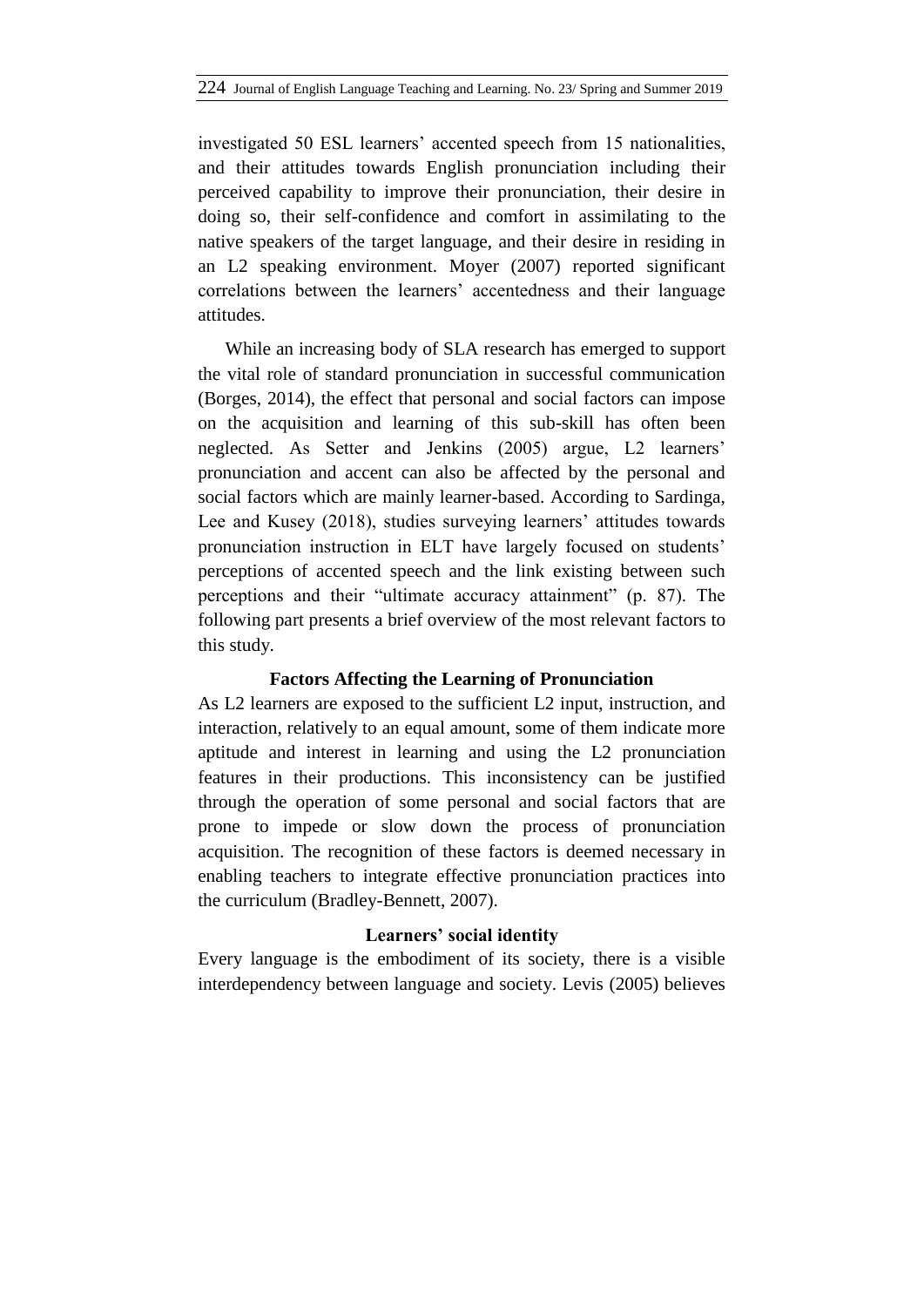investigated 50 ESL learners' accented speech from 15 nationalities, and their attitudes towards English pronunciation including their perceived capability to improve their pronunciation, their desire in doing so, their self-confidence and comfort in assimilating to the native speakers of the target language, and their desire in residing in an L2 speaking environment. Moyer (2007) reported significant correlations between the learners' accentedness and their language attitudes.

While an increasing body of SLA research has emerged to support the vital role of standard pronunciation in successful communication (Borges, 2014), the effect that personal and social factors can impose on the acquisition and learning of this sub-skill has often been neglected. As Setter and Jenkins (2005) argue, L2 learners' pronunciation and accent can also be affected by the personal and social factors which are mainly learner-based. According to Sardinga, Lee and Kusey (2018), studies surveying learners' attitudes towards pronunciation instruction in ELT have largely focused on students' perceptions of accented speech and the link existing between such perceptions and their "ultimate accuracy attainment" (p. 87). The following part presents a brief overview of the most relevant factors to this study.

## **Factors Affecting the Learning of Pronunciation**

As L2 learners are exposed to the sufficient L2 input, instruction, and interaction, relatively to an equal amount, some of them indicate more aptitude and interest in learning and using the L2 pronunciation features in their productions. This inconsistency can be justified through the operation of some personal and social factors that are prone to impede or slow down the process of pronunciation acquisition. The recognition of these factors is deemed necessary in enabling teachers to integrate effective pronunciation practices into the curriculum (Bradley-Bennett, 2007).

### **Learners' social identity**

Every language is the embodiment of its society, there is a visible interdependency between language and society. Levis (2005) believes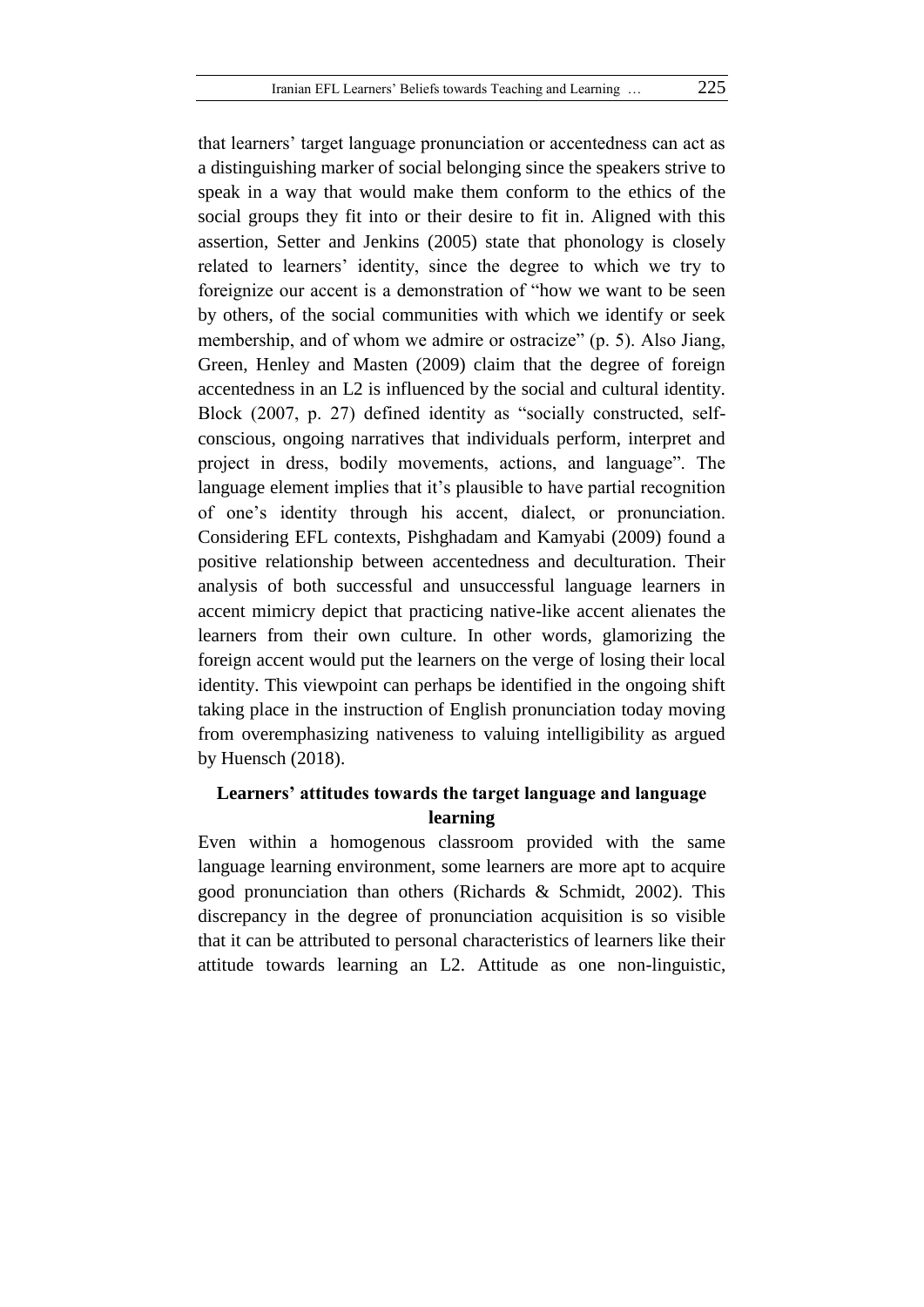that learners' target language pronunciation or accentedness can act as a distinguishing marker of social belonging since the speakers strive to speak in a way that would make them conform to the ethics of the social groups they fit into or their desire to fit in. Aligned with this assertion, Setter and Jenkins (2005) state that phonology is closely related to learners' identity, since the degree to which we try to foreignize our accent is a demonstration of "how we want to be seen by others, of the social communities with which we identify or seek membership, and of whom we admire or ostracize" (p. 5). Also Jiang, Green, Henley and Masten (2009) claim that the degree of foreign accentedness in an L2 is influenced by the social and cultural identity. Block (2007, p. 27) defined identity as "socially constructed, selfconscious, ongoing narratives that individuals perform, interpret and project in dress, bodily movements, actions, and language". The language element implies that it's plausible to have partial recognition of one's identity through his accent, dialect, or pronunciation. Considering EFL contexts, Pishghadam and Kamyabi (2009) found a positive relationship between accentedness and deculturation. Their analysis of both successful and unsuccessful language learners in accent mimicry depict that practicing native-like accent alienates the learners from their own culture. In other words, glamorizing the foreign accent would put the learners on the verge of losing their local identity. This viewpoint can perhaps be identified in the ongoing shift taking place in the instruction of English pronunciation today moving from overemphasizing nativeness to valuing intelligibility as argued by Huensch (2018).

# **Learners' attitudes towards the target language and language learning**

Even within a homogenous classroom provided with the same language learning environment, some learners are more apt to acquire good pronunciation than others (Richards & Schmidt, 2002). This discrepancy in the degree of pronunciation acquisition is so visible that it can be attributed to personal characteristics of learners like their attitude towards learning an L2. Attitude as one non-linguistic,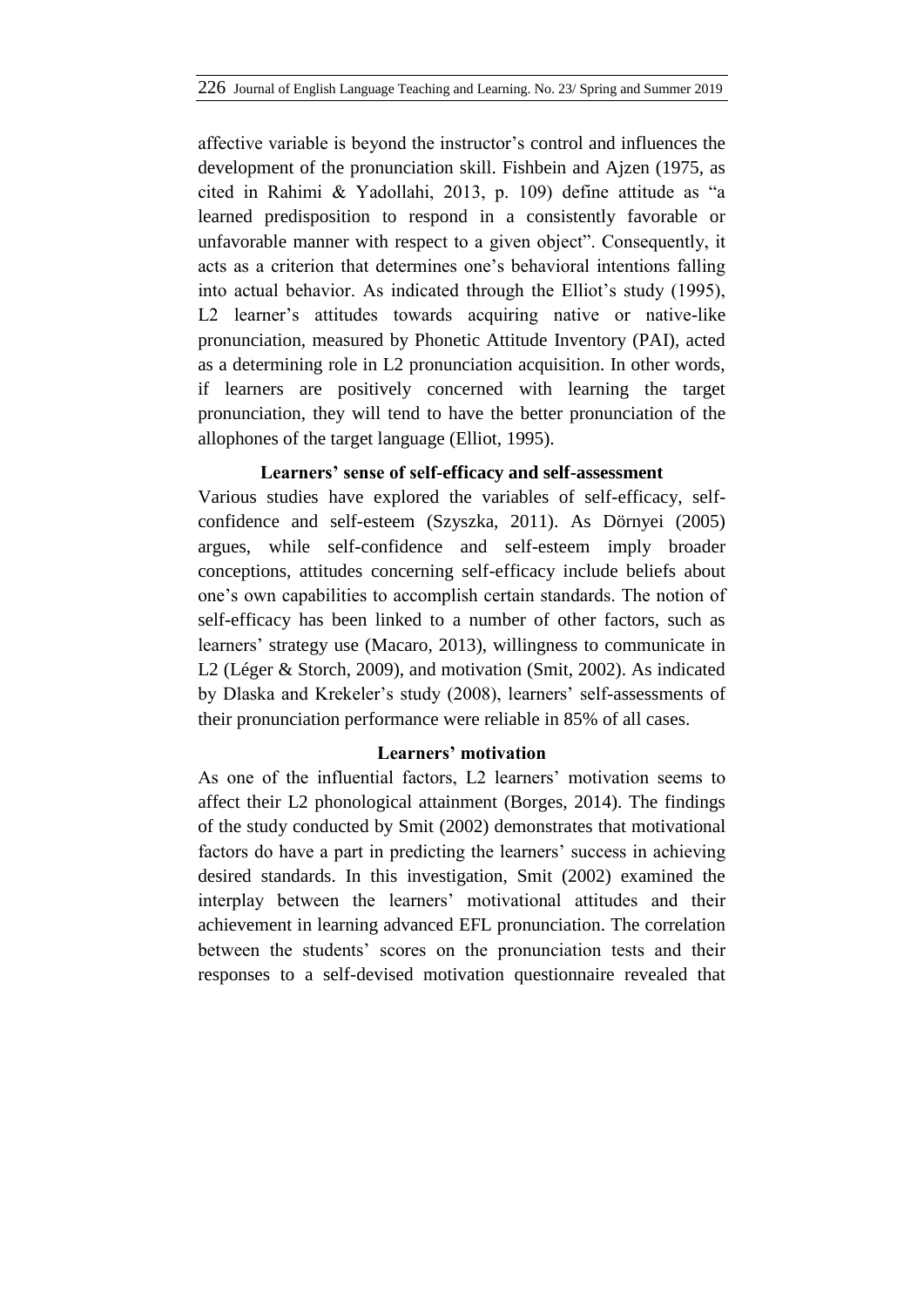affective variable is beyond the instructor's control and influences the development of the pronunciation skill. Fishbein and Ajzen (1975, as cited in Rahimi & Yadollahi, 2013, p. 109) define attitude as "a learned predisposition to respond in a consistently favorable or unfavorable manner with respect to a given object". Consequently, it acts as a criterion that determines one's behavioral intentions falling into actual behavior. As indicated through the Elliot's study (1995), L2 learner's attitudes towards acquiring native or native-like pronunciation, measured by Phonetic Attitude Inventory (PAI), acted as a determining role in L2 pronunciation acquisition. In other words, if learners are positively concerned with learning the target pronunciation, they will tend to have the better pronunciation of the allophones of the target language (Elliot, 1995).

## **Learners' sense of self-efficacy and self-assessment**

Various studies have explored the variables of self-efficacy, selfconfidence and self-esteem (Szyszka, 2011). As Dörnyei (2005) argues, while self-confidence and self-esteem imply broader conceptions, attitudes concerning self-efficacy include beliefs about one's own capabilities to accomplish certain standards. The notion of self-efficacy has been linked to a number of other factors, such as learners' strategy use (Macaro, 2013), willingness to communicate in L2 (Léger & Storch, 2009), and motivation (Smit, 2002). As indicated by Dlaska and Krekeler's study (2008), learners' self-assessments of their pronunciation performance were reliable in 85% of all cases.

## **Learners' motivation**

As one of the influential factors, L2 learners' motivation seems to affect their L2 phonological attainment (Borges, 2014). The findings of the study conducted by Smit (2002) demonstrates that motivational factors do have a part in predicting the learners' success in achieving desired standards. In this investigation, Smit (2002) examined the interplay between the learners' motivational attitudes and their achievement in learning advanced EFL pronunciation. The correlation between the students' scores on the pronunciation tests and their responses to a self-devised motivation questionnaire revealed that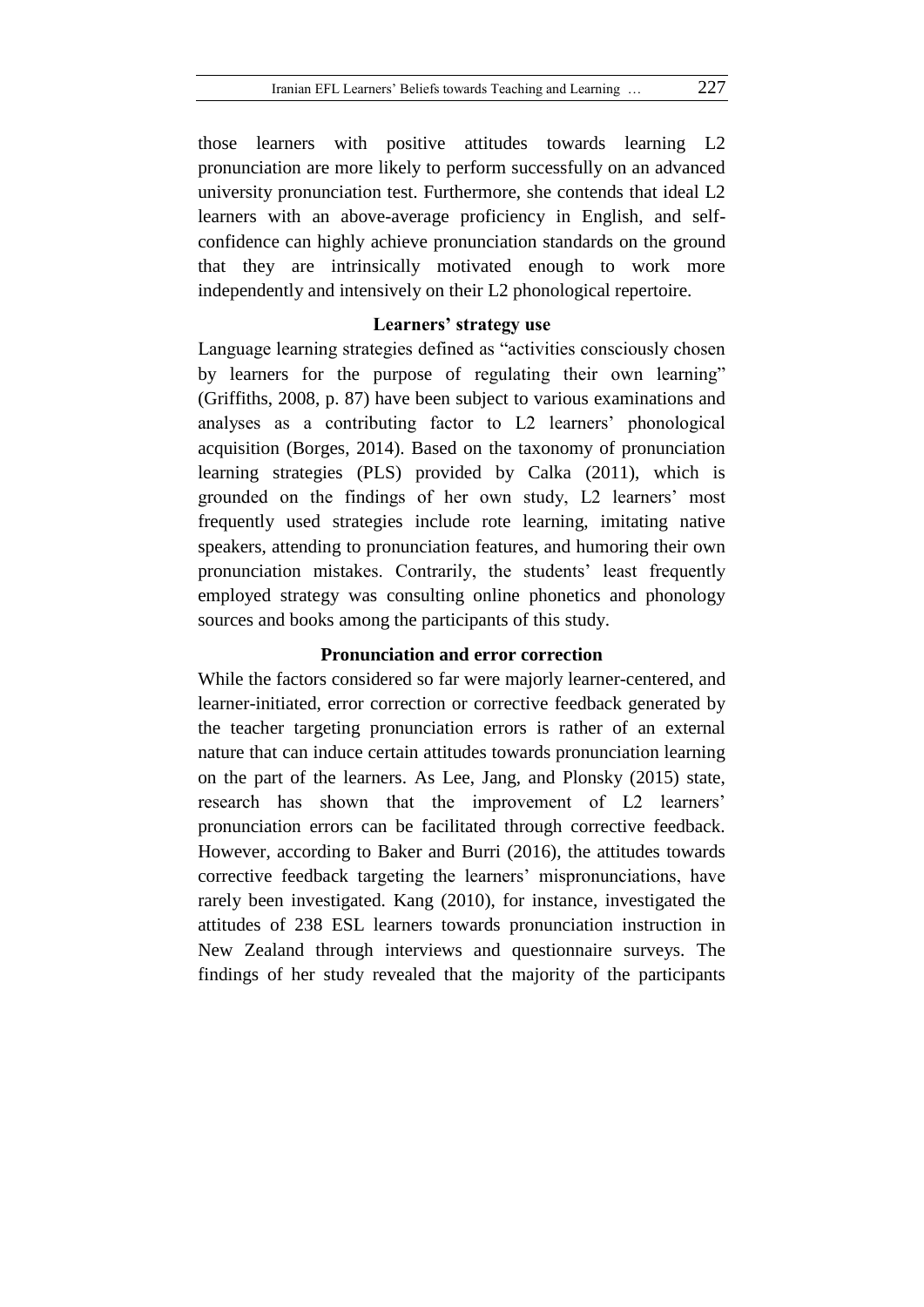those learners with positive attitudes towards learning L2 pronunciation are more likely to perform successfully on an advanced university pronunciation test. Furthermore, she contends that ideal L2 learners with an above-average proficiency in English, and selfconfidence can highly achieve pronunciation standards on the ground that they are intrinsically motivated enough to work more independently and intensively on their L2 phonological repertoire.

### **Learners' strategy use**

Language learning strategies defined as "activities consciously chosen by learners for the purpose of regulating their own learning" (Griffiths, 2008, p. 87) have been subject to various examinations and analyses as a contributing factor to L2 learners' phonological acquisition (Borges, 2014). Based on the taxonomy of pronunciation learning strategies (PLS) provided by Calka (2011), which is grounded on the findings of her own study, L2 learners' most frequently used strategies include rote learning, imitating native speakers, attending to pronunciation features, and humoring their own pronunciation mistakes. Contrarily, the students' least frequently employed strategy was consulting online phonetics and phonology sources and books among the participants of this study.

## **Pronunciation and error correction**

While the factors considered so far were majorly learner-centered, and learner-initiated, error correction or corrective feedback generated by the teacher targeting pronunciation errors is rather of an external nature that can induce certain attitudes towards pronunciation learning on the part of the learners. As Lee, Jang, and Plonsky (2015) state, research has shown that the improvement of L2 learners' pronunciation errors can be facilitated through corrective feedback. However, according to Baker and Burri (2016), the attitudes towards corrective feedback targeting the learners' mispronunciations, have rarely been investigated. Kang (2010), for instance, investigated the attitudes of 238 ESL learners towards pronunciation instruction in New Zealand through interviews and questionnaire surveys. The findings of her study revealed that the majority of the participants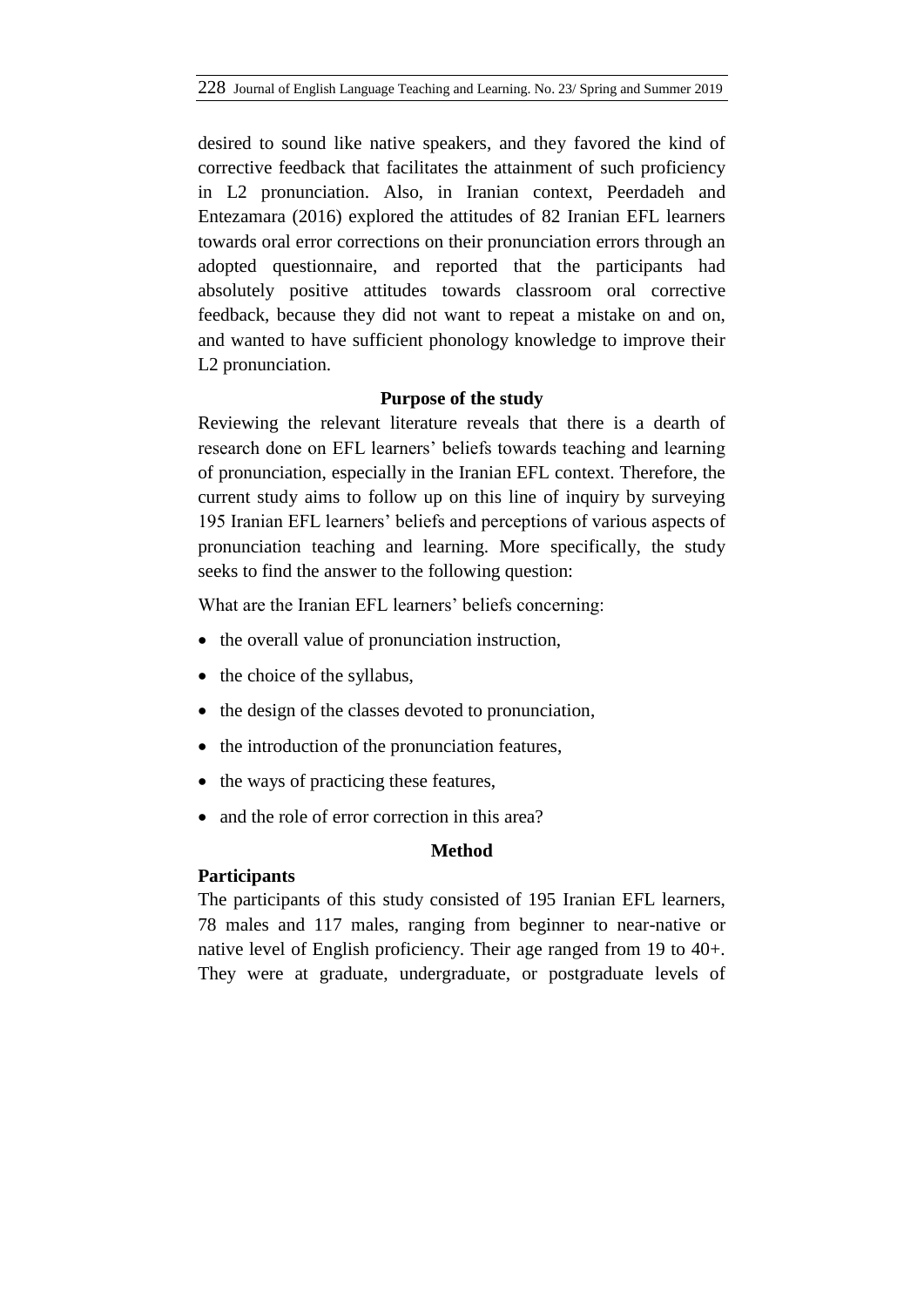desired to sound like native speakers, and they favored the kind of corrective feedback that facilitates the attainment of such proficiency in L2 pronunciation. Also, in Iranian context, Peerdadeh and Entezamara (2016) explored the attitudes of 82 Iranian EFL learners towards oral error corrections on their pronunciation errors through an adopted questionnaire, and reported that the participants had absolutely positive attitudes towards classroom oral corrective feedback, because they did not want to repeat a mistake on and on, and wanted to have sufficient phonology knowledge to improve their L2 pronunciation.

## **Purpose of the study**

Reviewing the relevant literature reveals that there is a dearth of research done on EFL learners' beliefs towards teaching and learning of pronunciation, especially in the Iranian EFL context. Therefore, the current study aims to follow up on this line of inquiry by surveying 195 Iranian EFL learners' beliefs and perceptions of various aspects of pronunciation teaching and learning. More specifically, the study seeks to find the answer to the following question:

What are the Iranian EFL learners' beliefs concerning:

- the overall value of pronunciation instruction.
- $\bullet$  the choice of the syllabus,
- the design of the classes devoted to pronunciation,
- the introduction of the pronunciation features,
- the ways of practicing these features,
- and the role of error correction in this area?

### **Method**

### **Participants**

The participants of this study consisted of 195 Iranian EFL learners, 78 males and 117 males, ranging from beginner to near-native or native level of English proficiency. Their age ranged from 19 to 40+. They were at graduate, undergraduate, or postgraduate levels of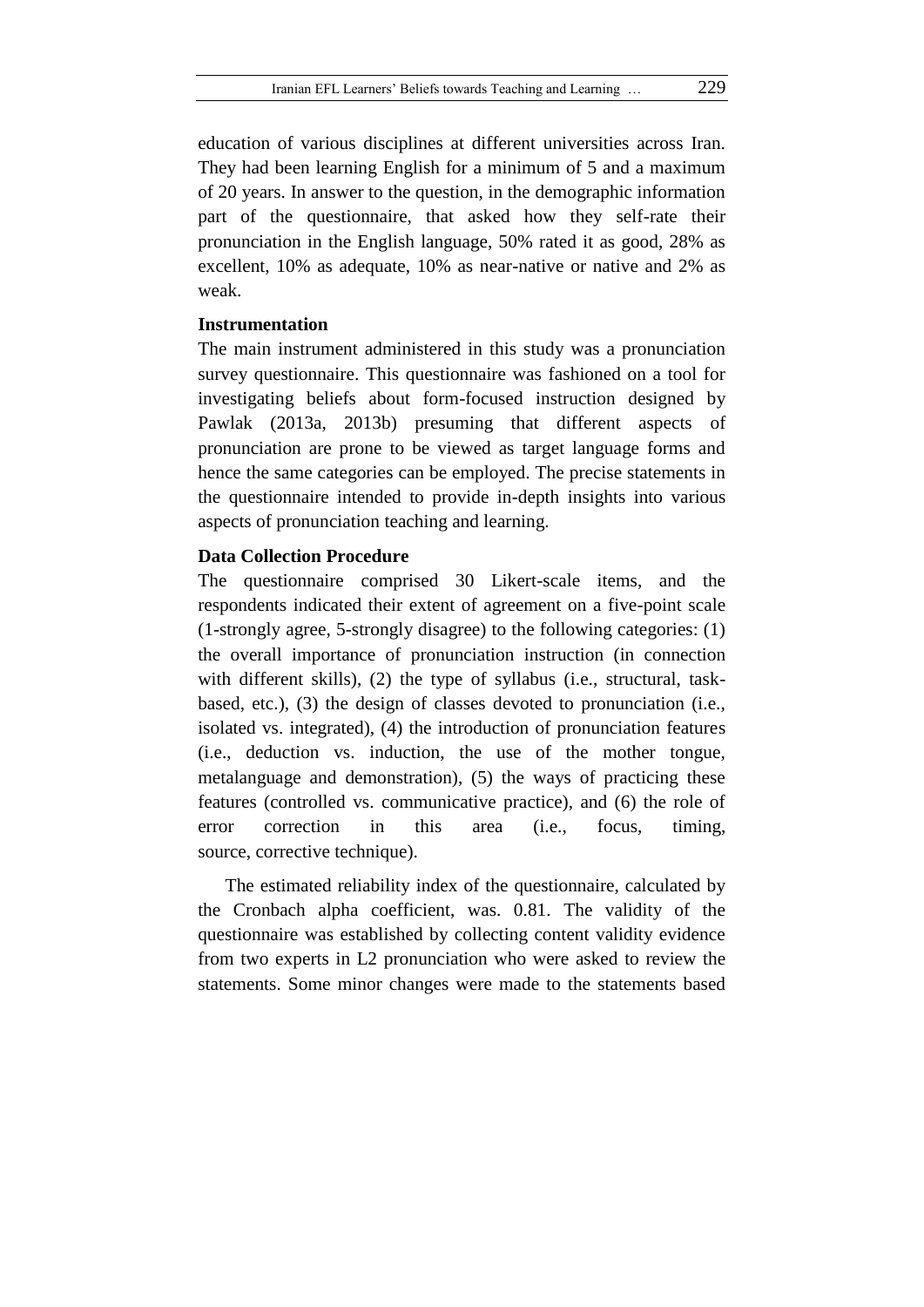education of various disciplines at different universities across Iran. They had been learning English for a minimum of 5 and a maximum of 20 years. In answer to the question, in the demographic information part of the questionnaire, that asked how they self-rate their pronunciation in the English language, 50% rated it as good, 28% as excellent, 10% as adequate, 10% as near-native or native and 2% as weak.

### **Instrumentation**

The main instrument administered in this study was a pronunciation survey questionnaire. This questionnaire was fashioned on a tool for investigating beliefs about form-focused instruction designed by Pawlak (2013a, 2013b) presuming that different aspects of pronunciation are prone to be viewed as target language forms and hence the same categories can be employed. The precise statements in the questionnaire intended to provide in-depth insights into various aspects of pronunciation teaching and learning.

#### **Data Collection Procedure**

The questionnaire comprised 30 Likert-scale items, and the respondents indicated their extent of agreement on a five-point scale (1-strongly agree, 5-strongly disagree) to the following categories: (1) the overall importance of pronunciation instruction (in connection with different skills), (2) the type of syllabus (i.e., structural, taskbased, etc.), (3) the design of classes devoted to pronunciation (i.e., isolated vs. integrated), (4) the introduction of pronunciation features (i.e., deduction vs. induction, the use of the mother tongue, metalanguage and demonstration), (5) the ways of practicing these features (controlled vs. communicative practice), and (6) the role of error correction in this area (i.e., focus, timing, source, corrective technique).

The estimated reliability index of the questionnaire, calculated by the Cronbach alpha coefficient, was. 0.81. The validity of the questionnaire was established by collecting content validity evidence from two experts in L2 pronunciation who were asked to review the statements. Some minor changes were made to the statements based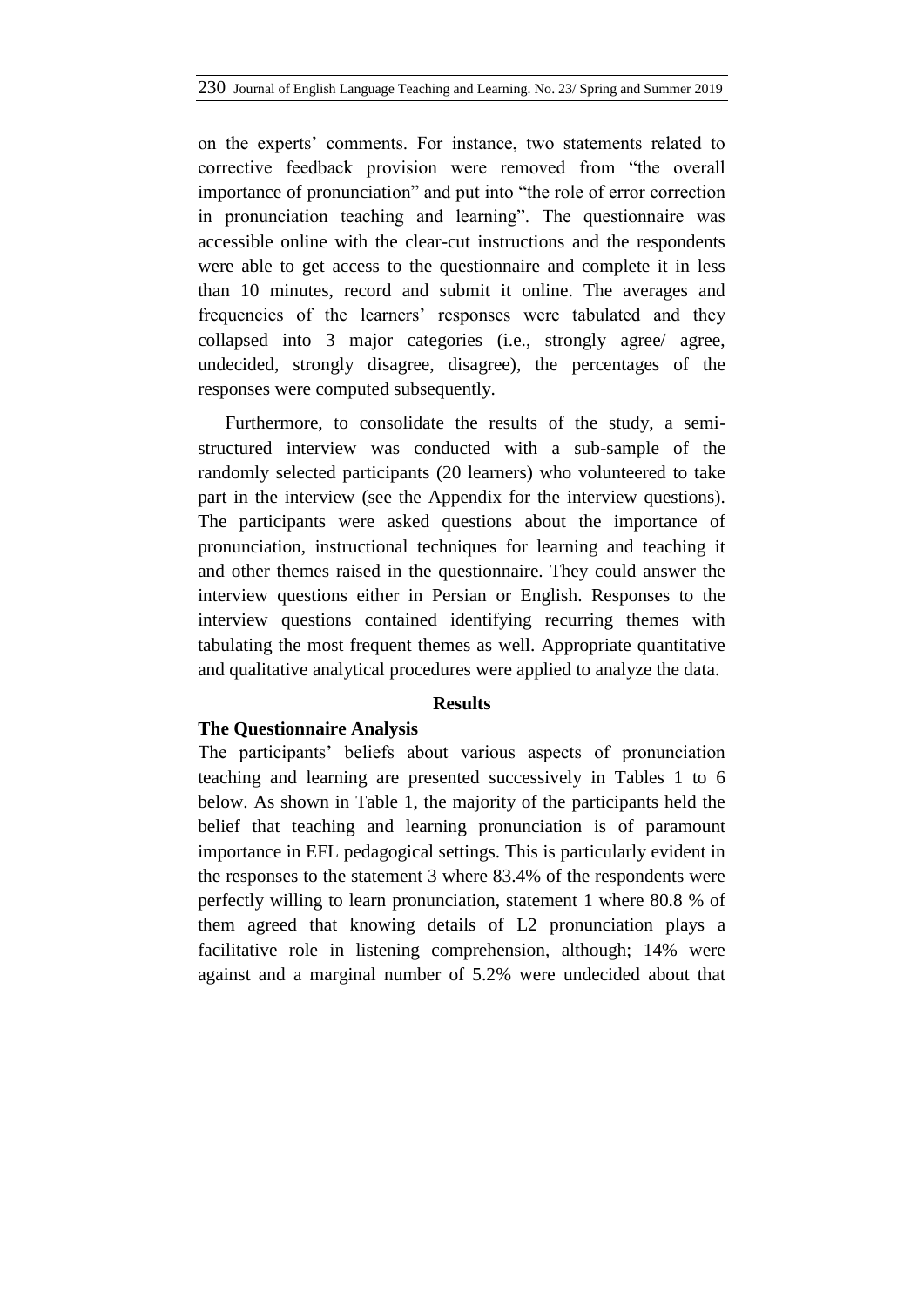on the experts' comments. For instance, two statements related to corrective feedback provision were removed from "the overall importance of pronunciation" and put into "the role of error correction in pronunciation teaching and learning". The questionnaire was accessible online with the clear-cut instructions and the respondents were able to get access to the questionnaire and complete it in less than 10 minutes, record and submit it online. The averages and frequencies of the learners' responses were tabulated and they collapsed into 3 major categories (i.e., strongly agree/ agree, undecided, strongly disagree, disagree), the percentages of the responses were computed subsequently.

Furthermore, to consolidate the results of the study, a semistructured interview was conducted with a sub-sample of the randomly selected participants (20 learners) who volunteered to take part in the interview (see the Appendix for the interview questions). The participants were asked questions about the importance of pronunciation, instructional techniques for learning and teaching it and other themes raised in the questionnaire. They could answer the interview questions either in Persian or English. Responses to the interview questions contained identifying recurring themes with tabulating the most frequent themes as well. Appropriate quantitative and qualitative analytical procedures were applied to analyze the data.

### **Results**

#### **The Questionnaire Analysis**

The participants' beliefs about various aspects of pronunciation teaching and learning are presented successively in Tables 1 to 6 below. As shown in Table 1, the majority of the participants held the belief that teaching and learning pronunciation is of paramount importance in EFL pedagogical settings. This is particularly evident in the responses to the statement 3 where 83.4% of the respondents were perfectly willing to learn pronunciation, statement 1 where 80.8 % of them agreed that knowing details of L2 pronunciation plays a facilitative role in listening comprehension, although; 14% were against and a marginal number of 5.2% were undecided about that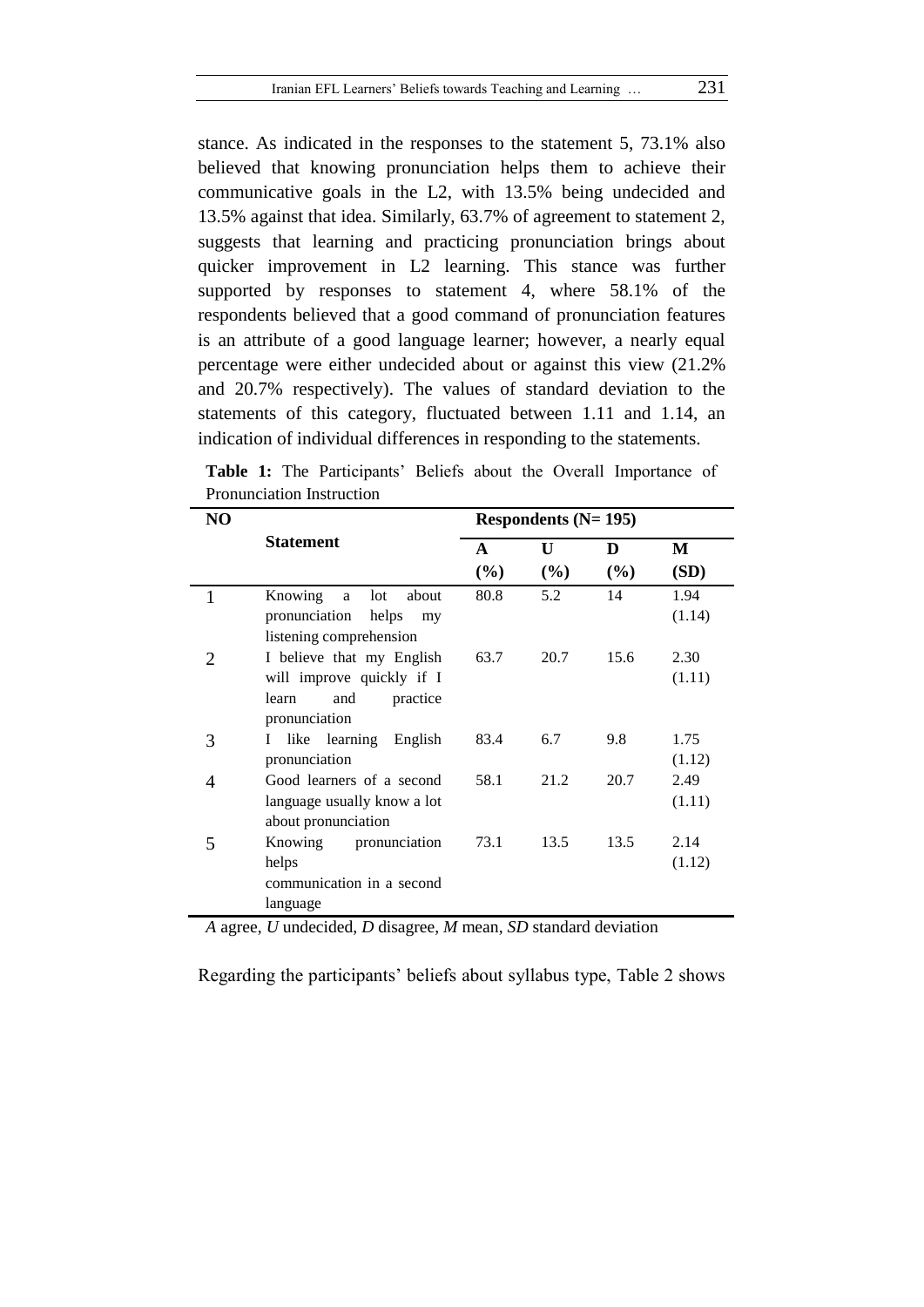stance. As indicated in the responses to the statement 5, 73.1% also believed that knowing pronunciation helps them to achieve their communicative goals in the L2, with 13.5% being undecided and 13.5% against that idea. Similarly, 63.7% of agreement to statement 2, suggests that learning and practicing pronunciation brings about quicker improvement in L2 learning. This stance was further supported by responses to statement 4, where 58.1% of the respondents believed that a good command of pronunciation features is an attribute of a good language learner; however, a nearly equal percentage were either undecided about or against this view (21.2% and 20.7% respectively). The values of standard deviation to the statements of this category, fluctuated between 1.11 and 1.14, an indication of individual differences in responding to the statements.

| NO |                                                                                                     |          | Respondents $(N=195)$ |          |                |  |  |
|----|-----------------------------------------------------------------------------------------------------|----------|-----------------------|----------|----------------|--|--|
|    | <b>Statement</b>                                                                                    | A<br>(%) | U<br>(%)              | D<br>(%) | M<br>(SD)      |  |  |
|    | Knowing<br>lot<br>about<br>a<br>pronunciation<br>helps<br>my<br>listening comprehension             | 80.8     | 5.2                   | 14       | 1.94<br>(1.14) |  |  |
| 2  | I believe that my English<br>will improve quickly if I<br>and<br>learn<br>practice<br>pronunciation | 63.7     | 20.7                  | 15.6     | 2.30<br>(1.11) |  |  |
| 3  | like learning<br>English<br>$\mathbf{I}$<br>pronunciation                                           | 83.4     | 6.7                   | 9.8      | 1.75<br>(1.12) |  |  |
| 4  | Good learners of a second<br>language usually know a lot<br>about pronunciation                     | 58.1     | 21.2                  | 20.7     | 2.49<br>(1.11) |  |  |
| 5  | Knowing pronunciation<br>helps<br>communication in a second<br>language                             | 73.1     | 13.5                  | 13.5     | 2.14<br>(1.12) |  |  |

**Table 1:** The Participants' Beliefs about the Overall Importance of Pronunciation Instruction

*A* agree, *U* undecided, *D* disagree, *M* mean, *SD* standard deviation

Regarding the participants' beliefs about syllabus type, Table 2 shows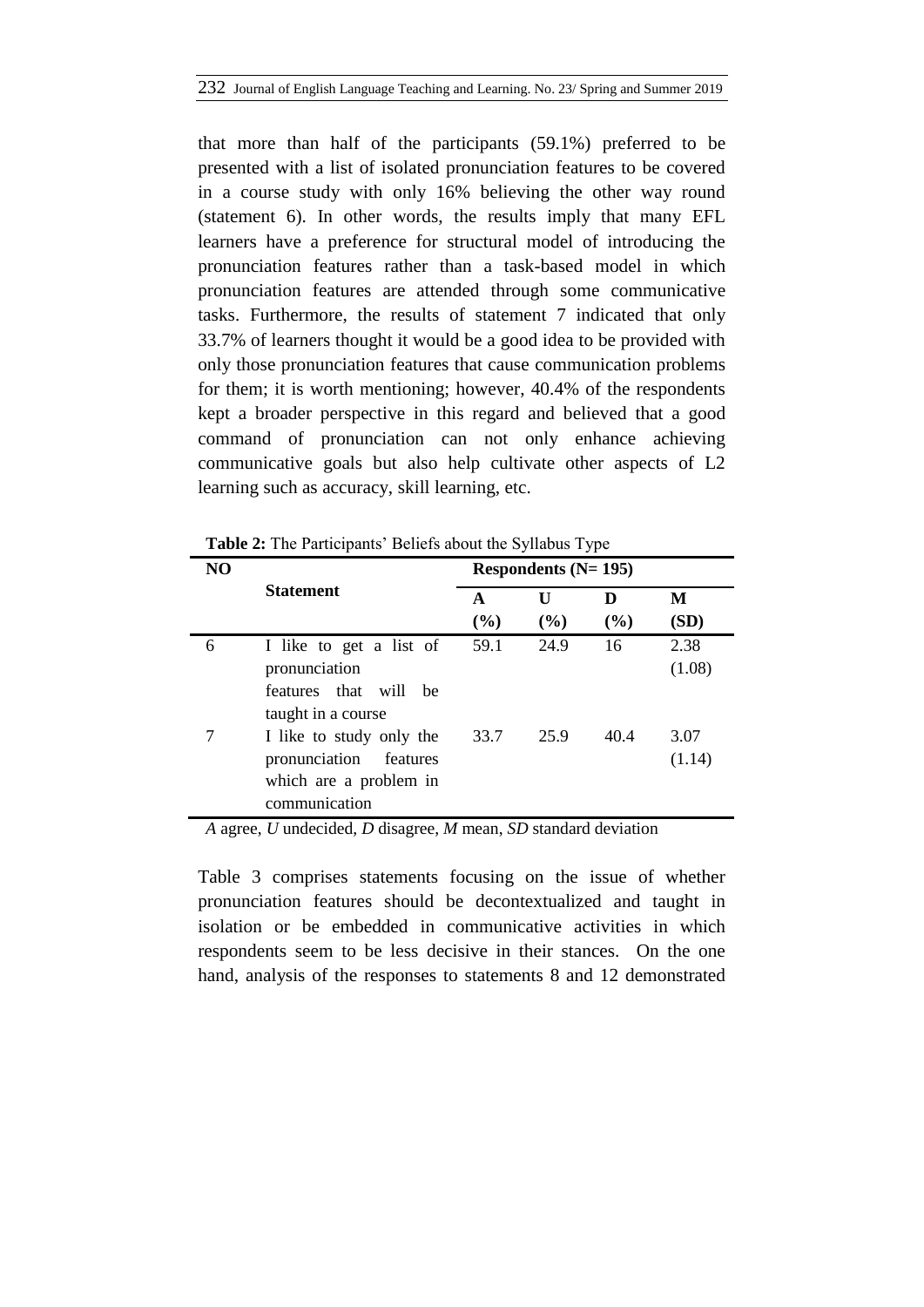that more than half of the participants (59.1%) preferred to be presented with a list of isolated pronunciation features to be covered in a course study with only 16% believing the other way round (statement 6). In other words, the results imply that many EFL learners have a preference for structural model of introducing the pronunciation features rather than a task-based model in which pronunciation features are attended through some communicative tasks. Furthermore, the results of statement 7 indicated that only 33.7% of learners thought it would be a good idea to be provided with only those pronunciation features that cause communication problems for them; it is worth mentioning; however, 40.4% of the respondents kept a broader perspective in this regard and believed that a good command of pronunciation can not only enhance achieving communicative goals but also help cultivate other aspects of L2 learning such as accuracy, skill learning, etc.

| N <sub>O</sub> |                           | Respondents $(N=195)$ |      |      |        |  |  |
|----------------|---------------------------|-----------------------|------|------|--------|--|--|
|                | <b>Statement</b>          | A                     | U    | D    | M      |  |  |
|                |                           | (%)                   | (%)  | (%)  | (SD)   |  |  |
| 6              | I like to get a list of   | 59.1                  | 24.9 | 16   | 2.38   |  |  |
|                | pronunciation             |                       |      |      | (1.08) |  |  |
|                | features that will<br>he. |                       |      |      |        |  |  |
|                | taught in a course        |                       |      |      |        |  |  |
|                | I like to study only the  | 33.7                  | 25.9 | 40.4 | 3.07   |  |  |
|                | pronunciation<br>features |                       |      |      | (1.14) |  |  |
|                | which are a problem in    |                       |      |      |        |  |  |
|                | communication             |                       |      |      |        |  |  |

**Table 2:** The Participants' Beliefs about the Syllabus Type

*A* agree, *U* undecided, *D* disagree, *M* mean, *SD* standard deviation

Table 3 comprises statements focusing on the issue of whether pronunciation features should be decontextualized and taught in isolation or be embedded in communicative activities in which respondents seem to be less decisive in their stances. On the one hand, analysis of the responses to statements 8 and 12 demonstrated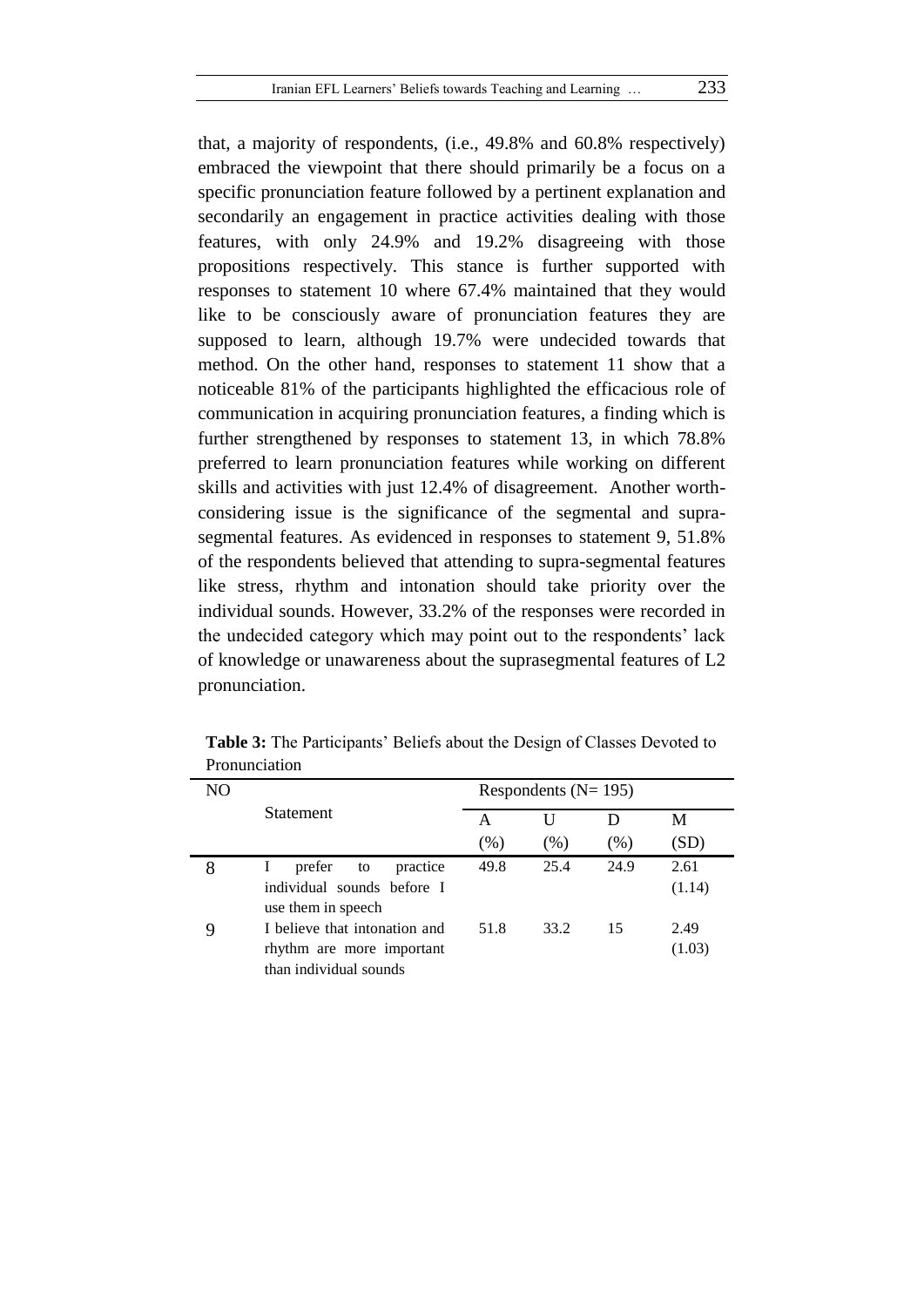that, a majority of respondents, (i.e., 49.8% and 60.8% respectively) embraced the viewpoint that there should primarily be a focus on a specific pronunciation feature followed by a pertinent explanation and secondarily an engagement in practice activities dealing with those features, with only 24.9% and 19.2% disagreeing with those propositions respectively. This stance is further supported with responses to statement 10 where 67.4% maintained that they would like to be consciously aware of pronunciation features they are supposed to learn, although 19.7% were undecided towards that method. On the other hand, responses to statement 11 show that a noticeable 81% of the participants highlighted the efficacious role of communication in acquiring pronunciation features, a finding which is further strengthened by responses to statement 13, in which 78.8% preferred to learn pronunciation features while working on different skills and activities with just 12.4% of disagreement. Another worthconsidering issue is the significance of the segmental and suprasegmental features. As evidenced in responses to statement 9, 51.8% of the respondents believed that attending to supra-segmental features like stress, rhythm and intonation should take priority over the individual sounds. However, 33.2% of the responses were recorded in the undecided category which may point out to the respondents' lack of knowledge or unawareness about the suprasegmental features of L2 pronunciation.

| NО | <b>Statement</b>                                 |        | Respondents ( $N = 195$ ) |      |        |  |  |  |
|----|--------------------------------------------------|--------|---------------------------|------|--------|--|--|--|
|    |                                                  | А      |                           | I)   | М      |  |  |  |
|    |                                                  | $(\%)$ | (% )                      | (% ) | (SD)   |  |  |  |
| 8  | prefer<br>practice<br>to<br>$\bf{l}$             | 49.8   | 25.4                      | 24.9 | 2.61   |  |  |  |
|    | individual sounds before I<br>use them in speech |        |                           |      | (1.14) |  |  |  |
| 9  | I believe that intonation and                    | 51.8   | 33.2                      | 15   | 2.49   |  |  |  |
|    | rhythm are more important                        |        |                           |      | (1.03) |  |  |  |
|    | than individual sounds                           |        |                           |      |        |  |  |  |

**Table 3:** The Participants' Beliefs about the Design of Classes Devoted to Pronunciation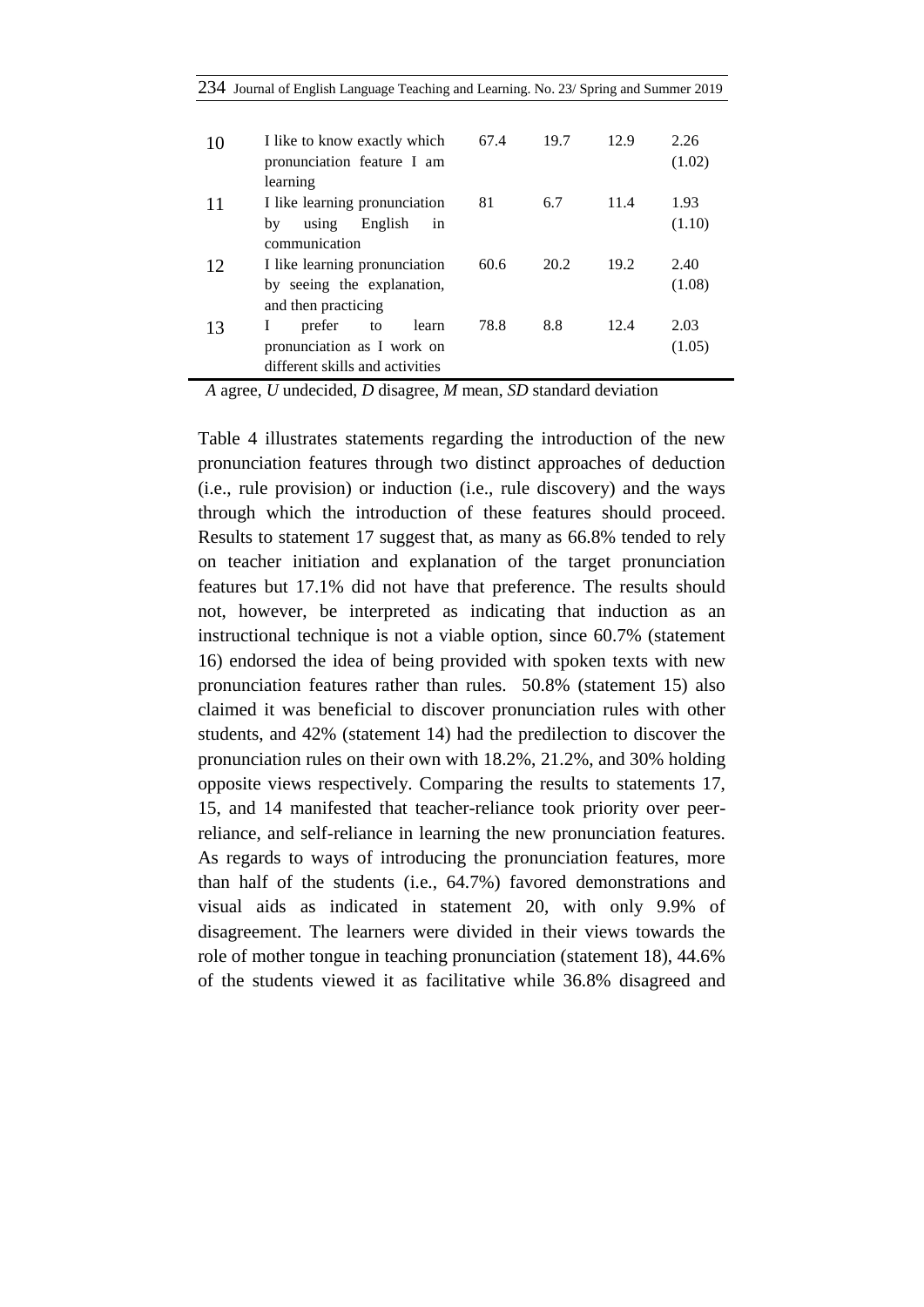|  |  |  |  | 234 Journal of English Language Teaching and Learning. No. 23/ Spring and Summer 2019 |  |  |  |  |  |
|--|--|--|--|---------------------------------------------------------------------------------------|--|--|--|--|--|
|--|--|--|--|---------------------------------------------------------------------------------------|--|--|--|--|--|

| 10 | I like to know exactly which<br>pronunciation feature I am<br>learning                      | 67.4 | 19.7 | 12.9 | 2.26<br>(1.02) |
|----|---------------------------------------------------------------------------------------------|------|------|------|----------------|
| 11 | I like learning pronunciation<br>English<br>using<br>by<br>in<br>communication              | 81   | 6.7  | 11.4 | 1.93<br>(1.10) |
| 12 | I like learning pronunciation<br>by seeing the explanation,<br>and then practicing          | 60.6 | 20.2 | 19.2 | 2.40<br>(1.08) |
| 13 | I<br>prefer<br>learn<br>to<br>pronunciation as I work on<br>different skills and activities | 78.8 | 8.8  | 12.4 | 2.03<br>(1.05) |

*A* agree, *U* undecided, *D* disagree, *M* mean, *SD* standard deviation

Table 4 illustrates statements regarding the introduction of the new pronunciation features through two distinct approaches of deduction (i.e., rule provision) or induction (i.e., rule discovery) and the ways through which the introduction of these features should proceed. Results to statement 17 suggest that, as many as 66.8% tended to rely on teacher initiation and explanation of the target pronunciation features but 17.1% did not have that preference. The results should not, however, be interpreted as indicating that induction as an instructional technique is not a viable option, since 60.7% (statement 16) endorsed the idea of being provided with spoken texts with new pronunciation features rather than rules. 50.8% (statement 15) also claimed it was beneficial to discover pronunciation rules with other students, and 42% (statement 14) had the predilection to discover the pronunciation rules on their own with 18.2%, 21.2%, and 30% holding opposite views respectively. Comparing the results to statements 17, 15, and 14 manifested that teacher-reliance took priority over peerreliance, and self-reliance in learning the new pronunciation features. As regards to ways of introducing the pronunciation features, more than half of the students (i.e., 64.7%) favored demonstrations and visual aids as indicated in statement 20, with only 9.9% of disagreement. The learners were divided in their views towards the role of mother tongue in teaching pronunciation (statement 18), 44.6% of the students viewed it as facilitative while 36.8% disagreed and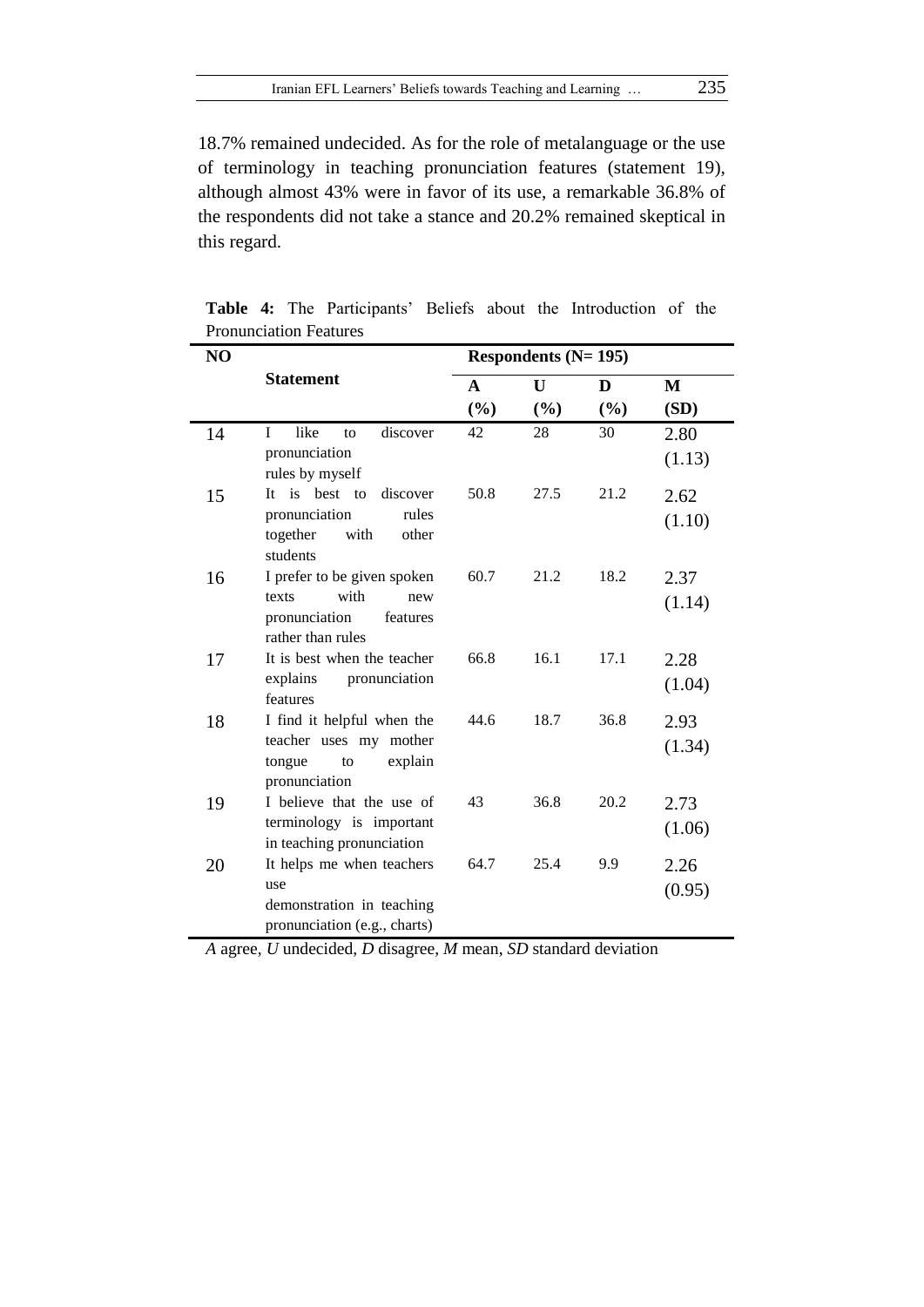18.7% remained undecided. As for the role of metalanguage or the use of terminology in teaching pronunciation features (statement 19), although almost 43% were in favor of its use, a remarkable 36.8% of the respondents did not take a stance and 20.2% remained skeptical in this regard.

| NO |                                                                                                       |             | Respondents (N= 195) |             |                      |  |  |
|----|-------------------------------------------------------------------------------------------------------|-------------|----------------------|-------------|----------------------|--|--|
|    | <b>Statement</b>                                                                                      | A<br>$(\%)$ | U<br>$(\%)$          | D<br>$(\%)$ | $\mathbf{M}$<br>(SD) |  |  |
| 14 | $\mathbf{I}$<br>like<br>discover<br>to<br>pronunciation<br>rules by myself                            | 42          | 28                   | 30          | 2.80<br>(1.13)       |  |  |
| 15 | It is best to<br>discover<br>pronunciation<br>rules<br>together<br>with<br>other<br>students          | 50.8        | 27.5                 | 21.2        | 2.62<br>(1.10)       |  |  |
| 16 | I prefer to be given spoken<br>with<br>texts<br>new<br>pronunciation<br>features<br>rather than rules | 60.7        | 21.2                 | 18.2        | 2.37<br>(1.14)       |  |  |
| 17 | It is best when the teacher<br>pronunciation<br>explains<br>features                                  | 66.8        | 16.1                 | 17.1        | 2.28<br>(1.04)       |  |  |
| 18 | I find it helpful when the<br>teacher uses my mother<br>tongue<br>explain<br>to<br>pronunciation      | 44.6        | 18.7                 | 36.8        | 2.93<br>(1.34)       |  |  |
| 19 | I believe that the use of<br>terminology is important<br>in teaching pronunciation                    | 43          | 36.8                 | 20.2        | 2.73<br>(1.06)       |  |  |
| 20 | It helps me when teachers<br>use<br>demonstration in teaching<br>pronunciation (e.g., charts)         | 64.7        | 25.4                 | 9.9         | 2.26<br>(0.95)       |  |  |

**Table 4:** The Participants' Beliefs about the Introduction of the Pronunciation Features

*A* agree, *U* undecided, *D* disagree, *M* mean, *SD* standard deviation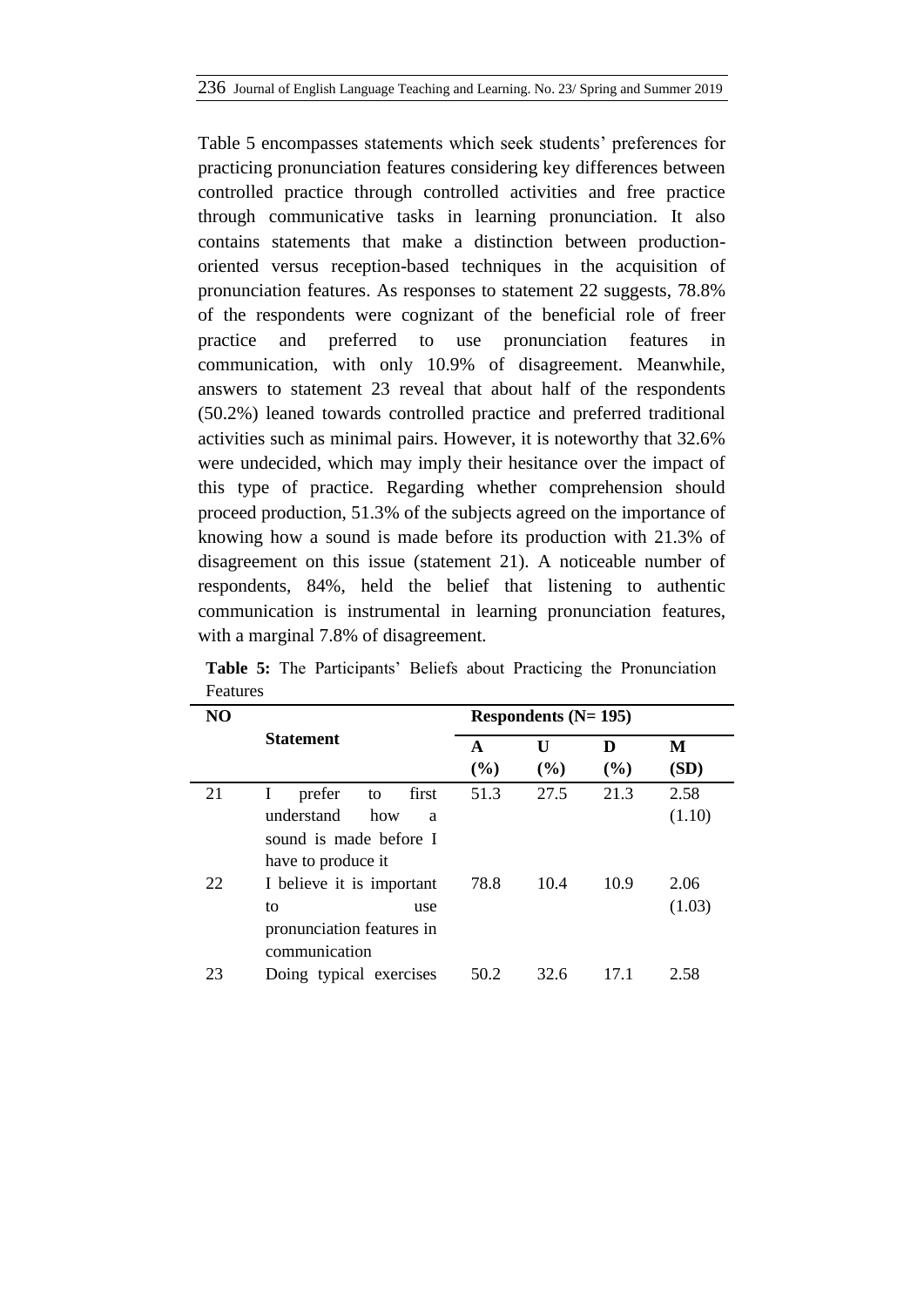Table 5 encompasses statements which seek students' preferences for practicing pronunciation features considering key differences between controlled practice through controlled activities and free practice through communicative tasks in learning pronunciation. It also contains statements that make a distinction between productionoriented versus reception-based techniques in the acquisition of pronunciation features. As responses to statement 22 suggests, 78.8% of the respondents were cognizant of the beneficial role of freer practice and preferred to use pronunciation features in communication, with only 10.9% of disagreement. Meanwhile, answers to statement 23 reveal that about half of the respondents (50.2%) leaned towards controlled practice and preferred traditional activities such as minimal pairs. However, it is noteworthy that 32.6% were undecided, which may imply their hesitance over the impact of this type of practice. Regarding whether comprehension should proceed production, 51.3% of the subjects agreed on the importance of knowing how a sound is made before its production with 21.3% of disagreement on this issue (statement 21). A noticeable number of respondents, 84%, held the belief that listening to authentic communication is instrumental in learning pronunciation features, with a marginal 7.8% of disagreement.

| NO |                            | Respondents $(N=195)$ |      |      |        |  |
|----|----------------------------|-----------------------|------|------|--------|--|
| 21 | <b>Statement</b>           | A                     | U    | D    | M      |  |
|    |                            | (%)                   | (%)  | (%)  | (SD)   |  |
|    | prefer<br>I<br>first<br>to | 51.3                  | 27.5 | 21.3 | 2.58   |  |
|    | understand<br>how<br>a     |                       |      |      | (1.10) |  |
|    | sound is made before I     |                       |      |      |        |  |
|    | have to produce it         |                       |      |      |        |  |
| 22 | I believe it is important  | 78.8                  | 10.4 | 10.9 | 2.06   |  |
|    | to<br>use                  |                       |      |      | (1.03) |  |
|    | pronunciation features in  |                       |      |      |        |  |
|    | communication              |                       |      |      |        |  |
| 23 | Doing typical exercises    | 50.2                  | 32.6 | 17.1 | 2.58   |  |

**Table 5:** The Participants' Beliefs about Practicing the Pronunciation Features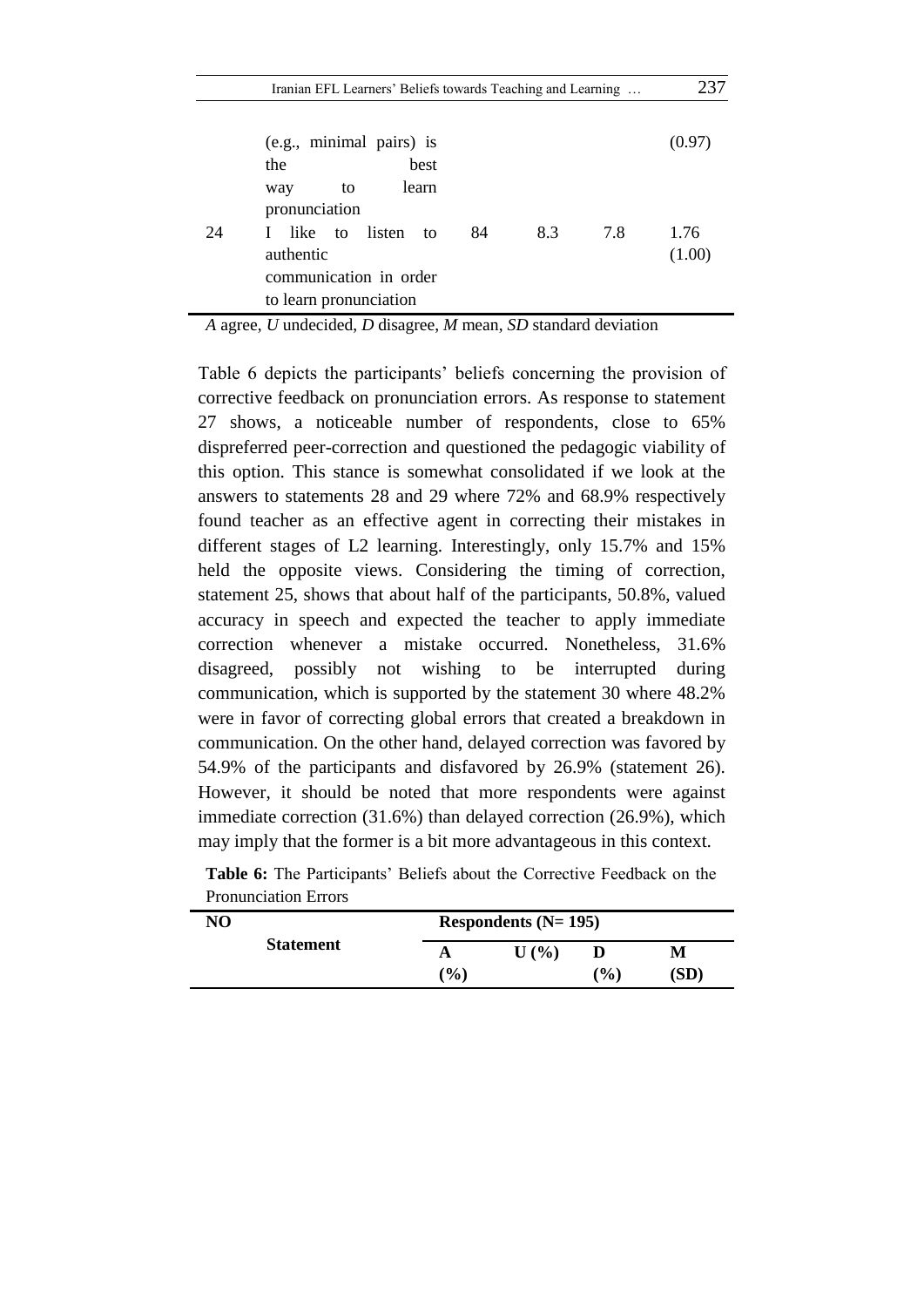| Iranian EFL Learners' Beliefs towards Teaching and Learning | 237 |
|-------------------------------------------------------------|-----|
|-------------------------------------------------------------|-----|

|    | (e.g., minimal pairs) is                                                                                 | (0.97)         |
|----|----------------------------------------------------------------------------------------------------------|----------------|
|    | best<br>the                                                                                              |                |
|    | learn<br>to<br>way<br>pronunciation                                                                      |                |
| 24 | I like to listen to<br>8.3<br>84<br>7.8<br>authentic<br>communication in order<br>to learn pronunciation | 1.76<br>(1.00) |

*A* agree, *U* undecided, *D* disagree, *M* mean, *SD* standard deviation

Table 6 depicts the participants' beliefs concerning the provision of corrective feedback on pronunciation errors. As response to statement 27 shows, a noticeable number of respondents, close to 65% dispreferred peer-correction and questioned the pedagogic viability of this option. This stance is somewhat consolidated if we look at the answers to statements 28 and 29 where 72% and 68.9% respectively found teacher as an effective agent in correcting their mistakes in different stages of L2 learning. Interestingly, only 15.7% and 15% held the opposite views. Considering the timing of correction, statement 25, shows that about half of the participants, 50.8%, valued accuracy in speech and expected the teacher to apply immediate correction whenever a mistake occurred. Nonetheless, 31.6% disagreed, possibly not wishing to be interrupted during communication, which is supported by the statement 30 where 48.2% were in favor of correcting global errors that created a breakdown in communication. On the other hand, delayed correction was favored by 54.9% of the participants and disfavored by 26.9% (statement 26). However, it should be noted that more respondents were against immediate correction (31.6%) than delayed correction (26.9%), which may imply that the former is a bit more advantageous in this context.

| NO               | Respondents $(N=195)$    |                  |     |      |  |  |  |
|------------------|--------------------------|------------------|-----|------|--|--|--|
| <b>Statement</b> |                          | $\mathbf{U}$ (%) |     | М    |  |  |  |
|                  | $\mathcal{O}_\mathbf{0}$ |                  | (%) | (SD) |  |  |  |

|                             | Table 6: The Participants' Beliefs about the Corrective Feedback on the |  |  |  |  |
|-----------------------------|-------------------------------------------------------------------------|--|--|--|--|
| <b>Pronunciation Errors</b> |                                                                         |  |  |  |  |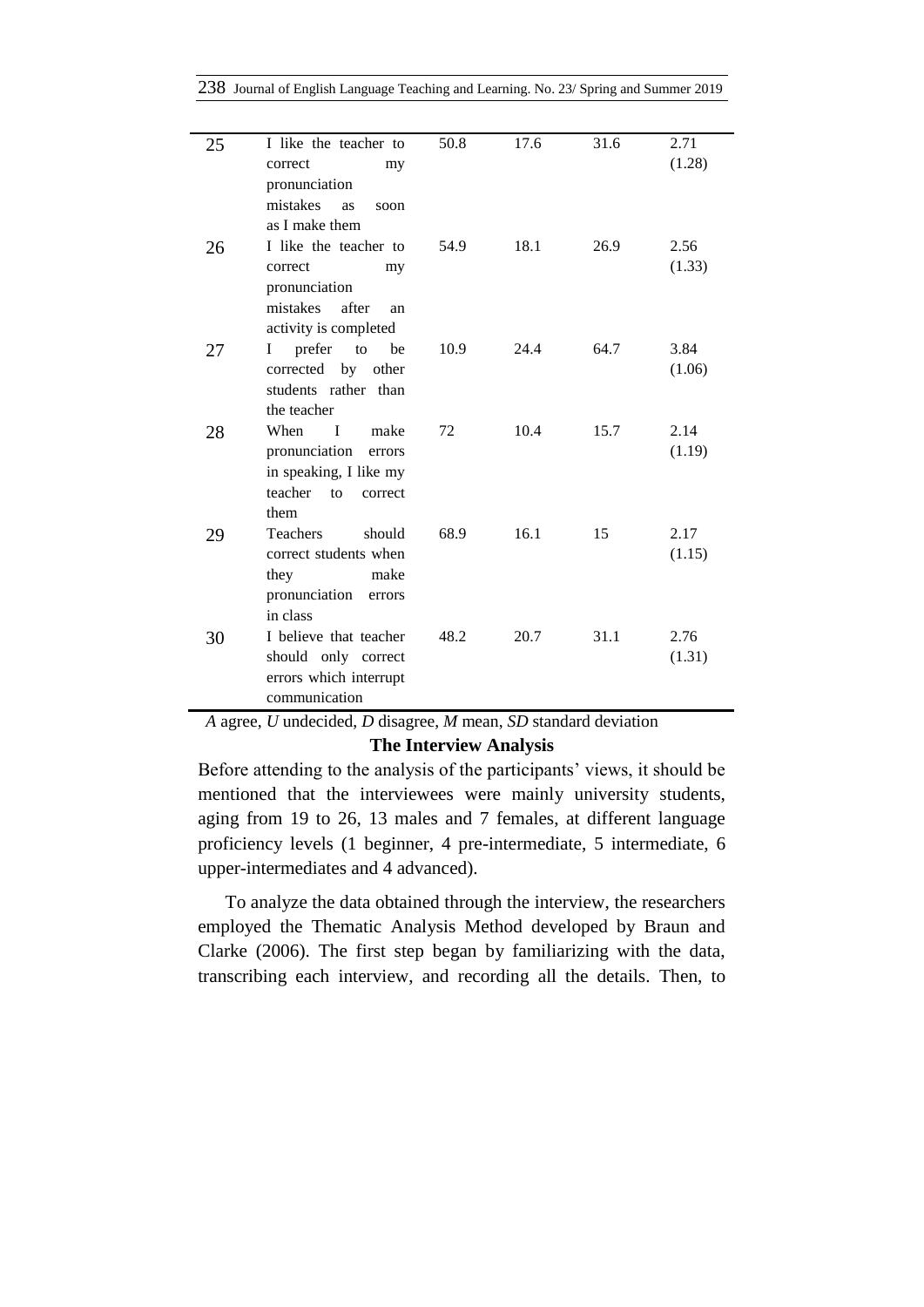|  |  |  |  | 238 Journal of English Language Teaching and Learning. No. 23/ Spring and Summer 2019 |  |  |  |  |  |
|--|--|--|--|---------------------------------------------------------------------------------------|--|--|--|--|--|
|--|--|--|--|---------------------------------------------------------------------------------------|--|--|--|--|--|

| 25 | I like the teacher to          | 50.8 | 17.6 | 31.6 | 2.71   |
|----|--------------------------------|------|------|------|--------|
|    | correct<br>my                  |      |      |      | (1.28) |
|    | pronunciation                  |      |      |      |        |
|    | mistakes<br><b>as</b><br>soon  |      |      |      |        |
|    | as I make them                 |      |      |      |        |
| 26 | I like the teacher to          | 54.9 | 18.1 | 26.9 | 2.56   |
|    | correct<br>my                  |      |      |      | (1.33) |
|    | pronunciation                  |      |      |      |        |
|    | mistakes after<br>an           |      |      |      |        |
|    | activity is completed          |      |      |      |        |
| 27 | prefer<br>$\Gamma$<br>be<br>Ι  | 10.9 | 24.4 | 64.7 | 3.84   |
|    | corrected by other             |      |      |      | (1.06) |
|    | students rather than           |      |      |      |        |
|    | the teacher                    |      |      |      |        |
| 28 | $\blacksquare$<br>When<br>make | 72   | 10.4 | 15.7 | 2.14   |
|    | pronunciation<br>errors        |      |      |      | (1.19) |
|    | in speaking, I like my         |      |      |      |        |
|    | teacher<br>to<br>correct       |      |      |      |        |
|    | them                           |      |      |      |        |
| 29 | <b>Teachers</b><br>should      | 68.9 | 16.1 | 15   | 2.17   |
|    | correct students when          |      |      |      | (1.15) |
|    | they<br>make                   |      |      |      |        |
|    | pronunciation<br>errors        |      |      |      |        |
|    | in class                       |      |      |      |        |
| 30 | I believe that teacher         | 48.2 | 20.7 | 31.1 | 2.76   |
|    | should only correct            |      |      |      | (1.31) |
|    | errors which interrupt         |      |      |      |        |
|    | communication                  |      |      |      |        |

*A* agree, *U* undecided, *D* disagree, *M* mean, *SD* standard deviation

### **The Interview Analysis**

Before attending to the analysis of the participants' views, it should be mentioned that the interviewees were mainly university students, aging from 19 to 26, 13 males and 7 females, at different language proficiency levels (1 beginner, 4 pre-intermediate, 5 intermediate, 6 upper-intermediates and 4 advanced).

To analyze the data obtained through the interview, the researchers employed the Thematic Analysis Method developed by Braun and Clarke (2006). The first step began by familiarizing with the data, transcribing each interview, and recording all the details. Then, to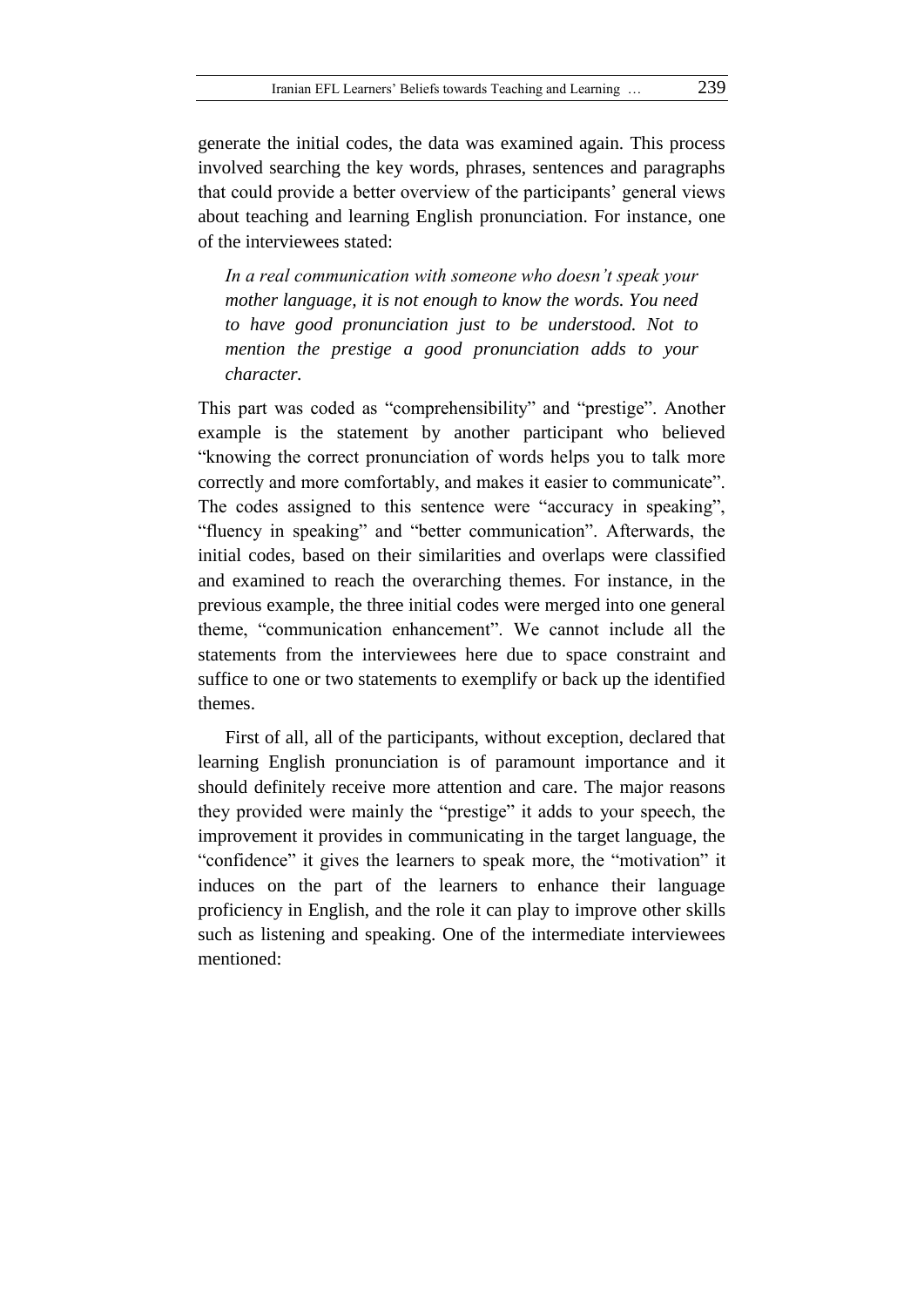generate the initial codes, the data was examined again. This process involved searching the key words, phrases, sentences and paragraphs that could provide a better overview of the participants' general views about teaching and learning English pronunciation. For instance, one of the interviewees stated:

*In a real communication with someone who doesn't speak your mother language, it is not enough to know the words. You need to have good pronunciation just to be understood. Not to mention the prestige a good pronunciation adds to your character.*

This part was coded as "comprehensibility" and "prestige". Another example is the statement by another participant who believed "knowing the correct pronunciation of words helps you to talk more correctly and more comfortably, and makes it easier to communicate". The codes assigned to this sentence were "accuracy in speaking", "fluency in speaking" and "better communication". Afterwards, the initial codes, based on their similarities and overlaps were classified and examined to reach the overarching themes. For instance, in the previous example, the three initial codes were merged into one general theme, "communication enhancement". We cannot include all the statements from the interviewees here due to space constraint and suffice to one or two statements to exemplify or back up the identified themes.

First of all, all of the participants, without exception, declared that learning English pronunciation is of paramount importance and it should definitely receive more attention and care. The major reasons they provided were mainly the "prestige" it adds to your speech, the improvement it provides in communicating in the target language, the "confidence" it gives the learners to speak more, the "motivation" it induces on the part of the learners to enhance their language proficiency in English, and the role it can play to improve other skills such as listening and speaking. One of the intermediate interviewees mentioned: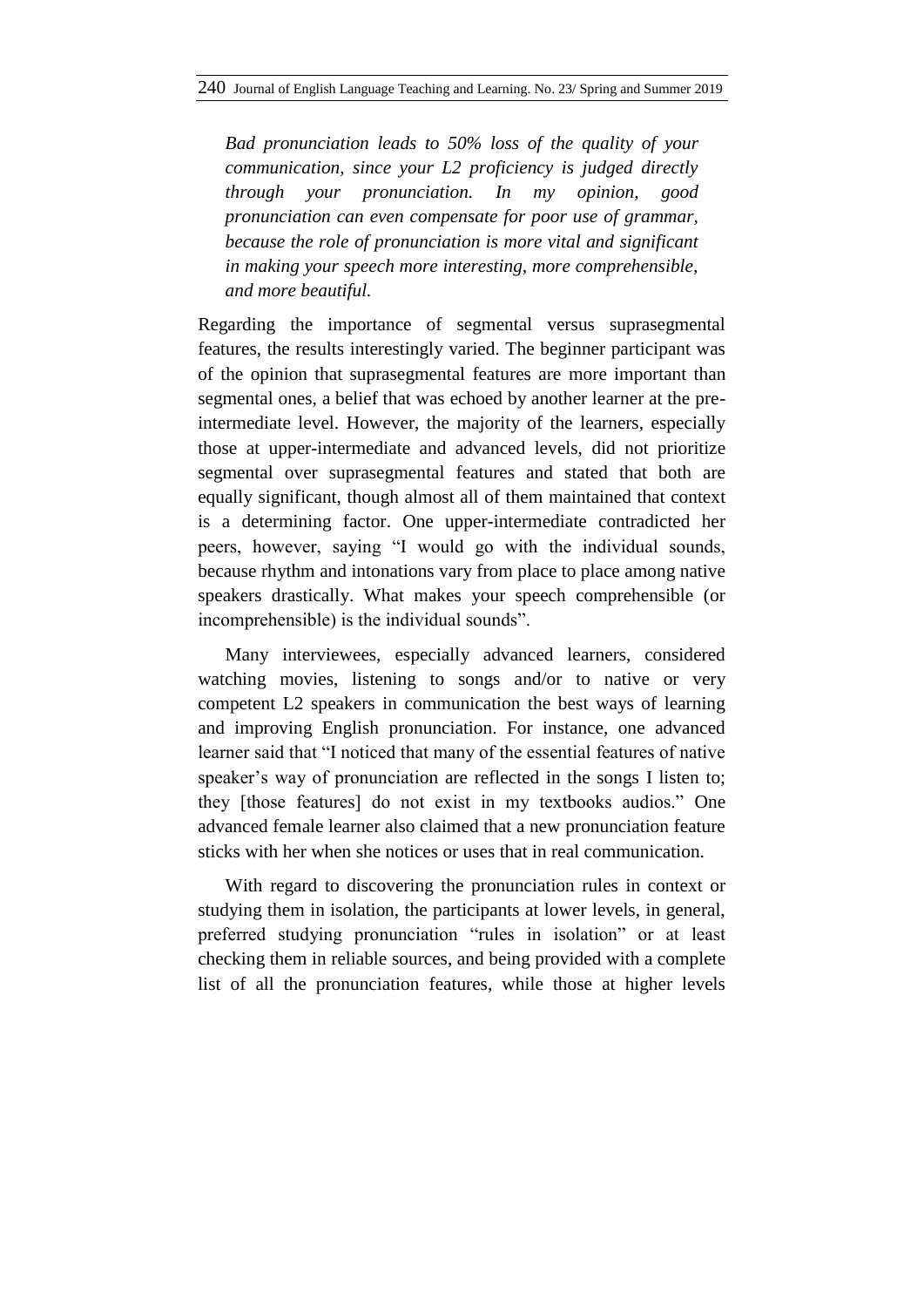*Bad pronunciation leads to 50% loss of the quality of your communication, since your L2 proficiency is judged directly through your pronunciation. In my opinion, good pronunciation can even compensate for poor use of grammar, because the role of pronunciation is more vital and significant in making your speech more interesting, more comprehensible, and more beautiful.*

Regarding the importance of segmental versus suprasegmental features, the results interestingly varied. The beginner participant was of the opinion that suprasegmental features are more important than segmental ones, a belief that was echoed by another learner at the preintermediate level. However, the majority of the learners, especially those at upper-intermediate and advanced levels, did not prioritize segmental over suprasegmental features and stated that both are equally significant, though almost all of them maintained that context is a determining factor. One upper-intermediate contradicted her peers, however, saying "I would go with the individual sounds, because rhythm and intonations vary from place to place among native speakers drastically. What makes your speech comprehensible (or incomprehensible) is the individual sounds".

Many interviewees, especially advanced learners, considered watching movies, listening to songs and/or to native or very competent L2 speakers in communication the best ways of learning and improving English pronunciation. For instance, one advanced learner said that "I noticed that many of the essential features of native speaker's way of pronunciation are reflected in the songs I listen to; they [those features] do not exist in my textbooks audios." One advanced female learner also claimed that a new pronunciation feature sticks with her when she notices or uses that in real communication.

With regard to discovering the pronunciation rules in context or studying them in isolation, the participants at lower levels, in general, preferred studying pronunciation "rules in isolation" or at least checking them in reliable sources, and being provided with a complete list of all the pronunciation features, while those at higher levels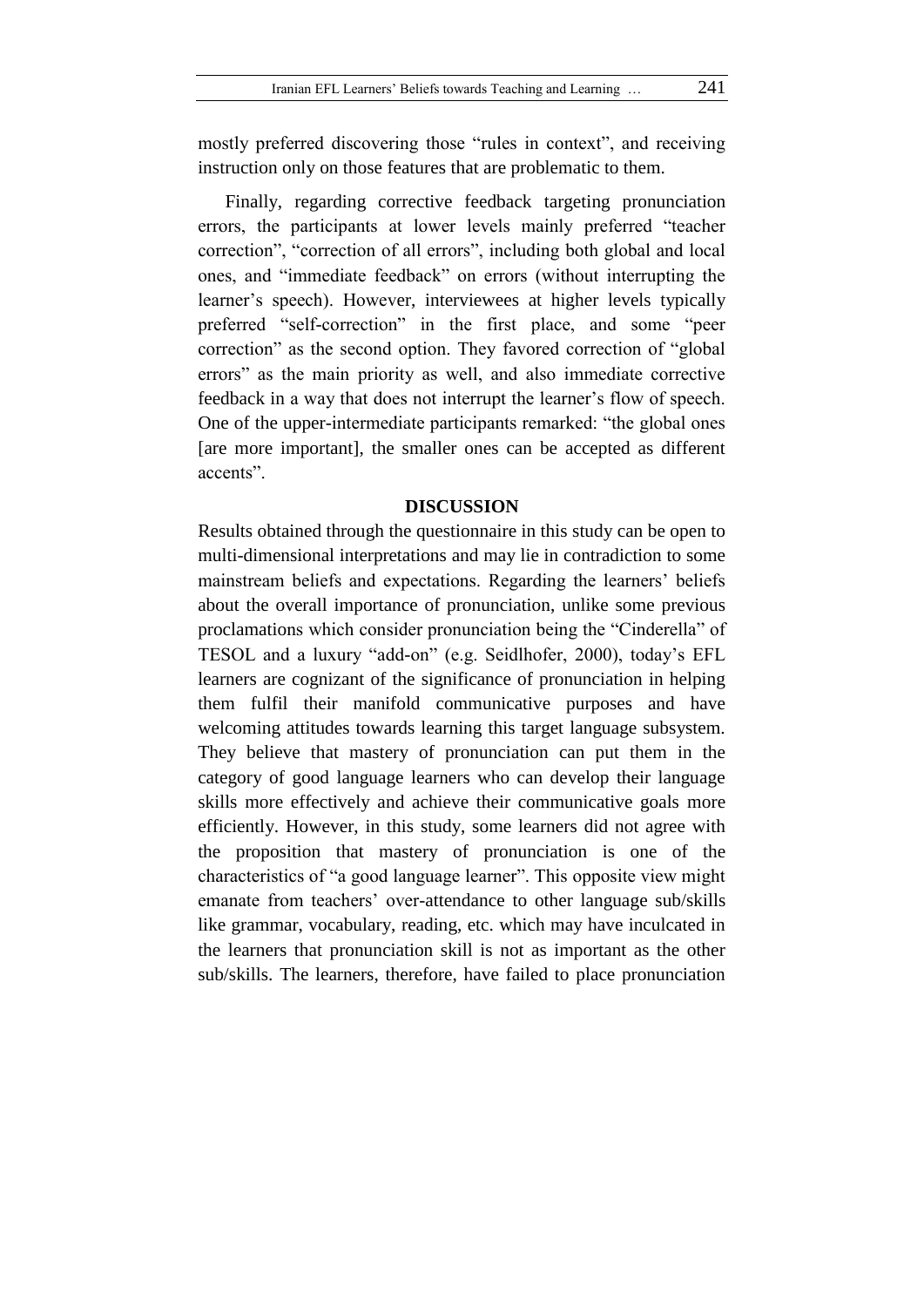mostly preferred discovering those "rules in context", and receiving instruction only on those features that are problematic to them.

Finally, regarding corrective feedback targeting pronunciation errors, the participants at lower levels mainly preferred "teacher correction", "correction of all errors", including both global and local ones, and "immediate feedback" on errors (without interrupting the learner's speech). However, interviewees at higher levels typically preferred "self-correction" in the first place, and some "peer correction" as the second option. They favored correction of "global errors" as the main priority as well, and also immediate corrective feedback in a way that does not interrupt the learner's flow of speech. One of the upper-intermediate participants remarked: "the global ones [are more important], the smaller ones can be accepted as different accents".

#### **DISCUSSION**

Results obtained through the questionnaire in this study can be open to multi-dimensional interpretations and may lie in contradiction to some mainstream beliefs and expectations. Regarding the learners' beliefs about the overall importance of pronunciation, unlike some previous proclamations which consider pronunciation being the "Cinderella" of TESOL and a luxury "add-on" (e.g. Seidlhofer, 2000), today's EFL learners are cognizant of the significance of pronunciation in helping them fulfil their manifold communicative purposes and have welcoming attitudes towards learning this target language subsystem. They believe that mastery of pronunciation can put them in the category of good language learners who can develop their language skills more effectively and achieve their communicative goals more efficiently. However, in this study, some learners did not agree with the proposition that mastery of pronunciation is one of the characteristics of "a good language learner". This opposite view might emanate from teachers' over-attendance to other language sub/skills like grammar, vocabulary, reading, etc. which may have inculcated in the learners that pronunciation skill is not as important as the other sub/skills. The learners, therefore, have failed to place pronunciation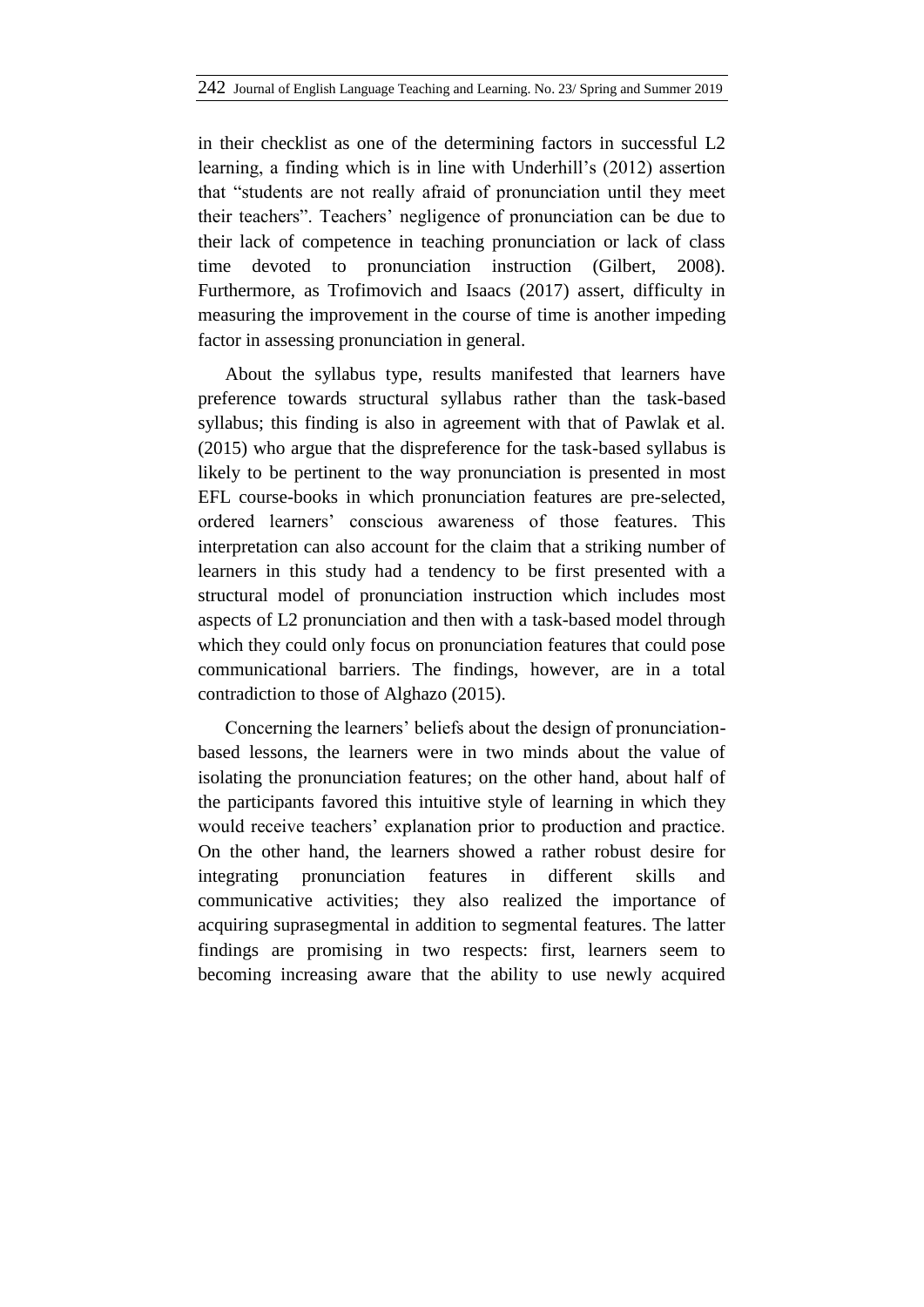in their checklist as one of the determining factors in successful L2 learning, a finding which is in line with Underhill's (2012) assertion that "students are not really afraid of pronunciation until they meet their teachers". Teachers' negligence of pronunciation can be due to their lack of competence in teaching pronunciation or lack of class time devoted to pronunciation instruction (Gilbert, 2008). Furthermore, as Trofimovich and Isaacs (2017) assert, difficulty in measuring the improvement in the course of time is another impeding factor in assessing pronunciation in general.

About the syllabus type, results manifested that learners have preference towards structural syllabus rather than the task-based syllabus; this finding is also in agreement with that of Pawlak et al. (2015) who argue that the dispreference for the task-based syllabus is likely to be pertinent to the way pronunciation is presented in most EFL course-books in which pronunciation features are pre-selected, ordered learners' conscious awareness of those features. This interpretation can also account for the claim that a striking number of learners in this study had a tendency to be first presented with a structural model of pronunciation instruction which includes most aspects of L2 pronunciation and then with a task-based model through which they could only focus on pronunciation features that could pose communicational barriers. The findings, however, are in a total contradiction to those of Alghazo (2015).

Concerning the learners' beliefs about the design of pronunciationbased lessons, the learners were in two minds about the value of isolating the pronunciation features; on the other hand, about half of the participants favored this intuitive style of learning in which they would receive teachers' explanation prior to production and practice. On the other hand, the learners showed a rather robust desire for integrating pronunciation features in different skills and communicative activities; they also realized the importance of acquiring suprasegmental in addition to segmental features. The latter findings are promising in two respects: first, learners seem to becoming increasing aware that the ability to use newly acquired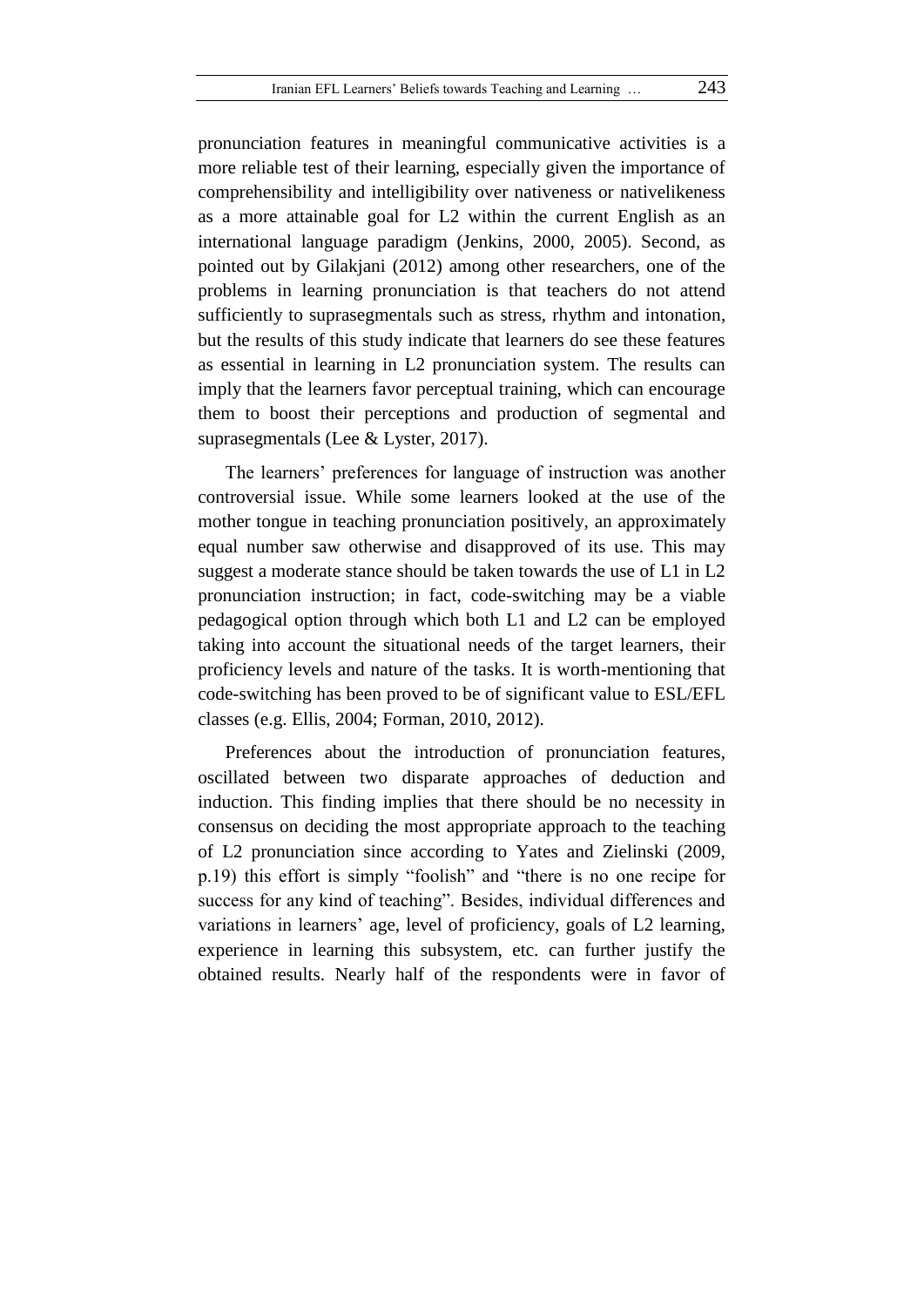pronunciation features in meaningful communicative activities is a more reliable test of their learning, especially given the importance of comprehensibility and intelligibility over nativeness or nativelikeness as a more attainable goal for L2 within the current English as an international language paradigm (Jenkins, 2000, 2005). Second, as pointed out by Gilakjani (2012) among other researchers, one of the problems in learning pronunciation is that teachers do not attend sufficiently to suprasegmentals such as stress, rhythm and intonation, but the results of this study indicate that learners do see these features as essential in learning in L2 pronunciation system. The results can imply that the learners favor perceptual training, which can encourage them to boost their perceptions and production of segmental and suprasegmentals (Lee & Lyster, 2017).

The learners' preferences for language of instruction was another controversial issue. While some learners looked at the use of the mother tongue in teaching pronunciation positively, an approximately equal number saw otherwise and disapproved of its use. This may suggest a moderate stance should be taken towards the use of L1 in L2 pronunciation instruction; in fact, code-switching may be a viable pedagogical option through which both L1 and L2 can be employed taking into account the situational needs of the target learners, their proficiency levels and nature of the tasks. It is worth-mentioning that code-switching has been proved to be of significant value to ESL/EFL classes (e.g. Ellis, 2004; Forman, 2010, 2012).

Preferences about the introduction of pronunciation features, oscillated between two disparate approaches of deduction and induction. This finding implies that there should be no necessity in consensus on deciding the most appropriate approach to the teaching of L2 pronunciation since according to Yates and Zielinski (2009, p.19) this effort is simply "foolish" and "there is no one recipe for success for any kind of teaching". Besides, individual differences and variations in learners' age, level of proficiency, goals of L2 learning, experience in learning this subsystem, etc. can further justify the obtained results. Nearly half of the respondents were in favor of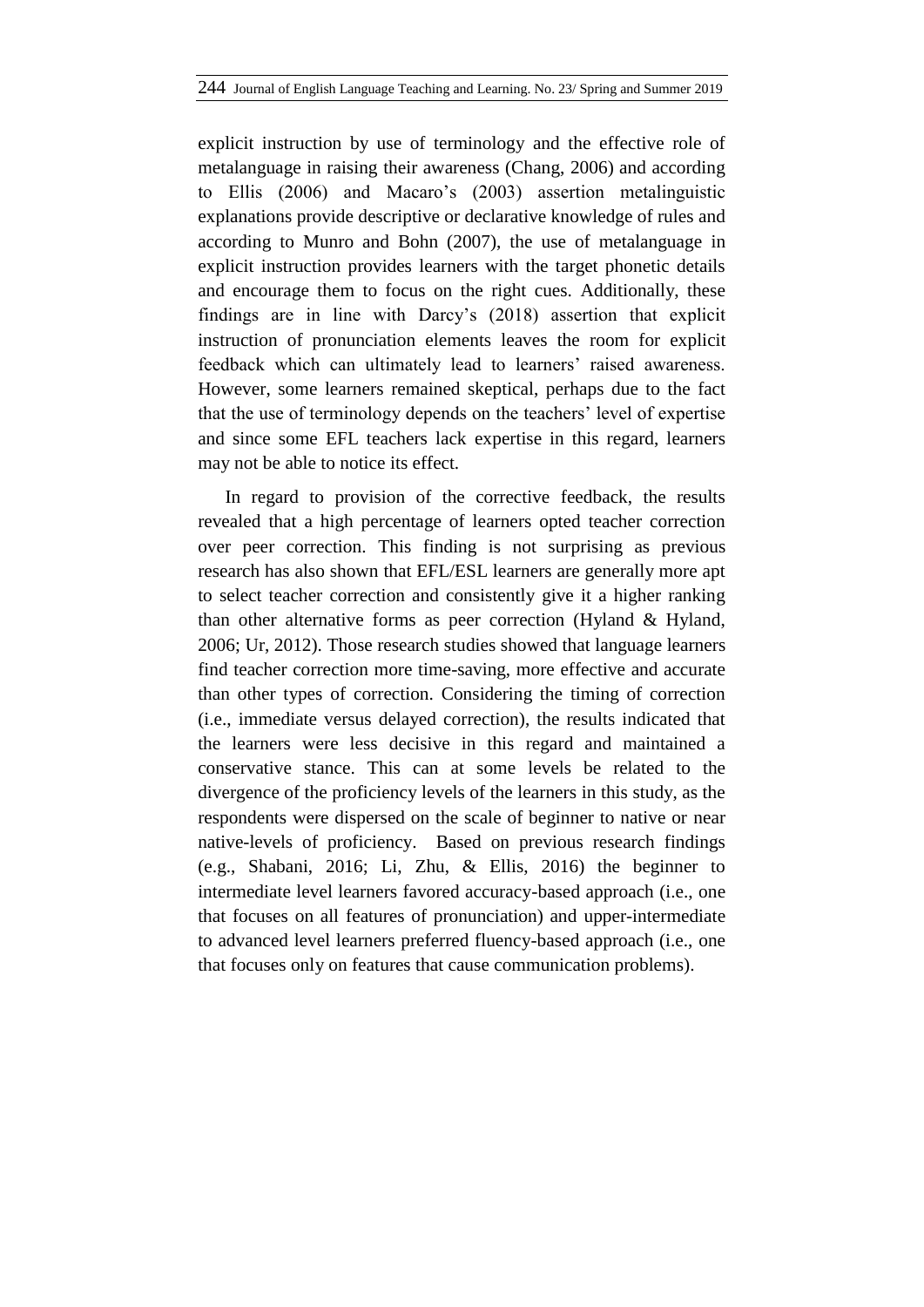explicit instruction by use of terminology and the effective role of metalanguage in raising their awareness (Chang, 2006) and according to Ellis (2006) and Macaro's (2003) assertion metalinguistic explanations provide descriptive or declarative knowledge of rules and according to Munro and Bohn (2007), the use of metalanguage in explicit instruction provides learners with the target phonetic details and encourage them to focus on the right cues. Additionally, these findings are in line with Darcy's (2018) assertion that explicit instruction of pronunciation elements leaves the room for explicit feedback which can ultimately lead to learners' raised awareness. However, some learners remained skeptical, perhaps due to the fact that the use of terminology depends on the teachers' level of expertise and since some EFL teachers lack expertise in this regard, learners may not be able to notice its effect.

In regard to provision of the corrective feedback, the results revealed that a high percentage of learners opted teacher correction over peer correction. This finding is not surprising as previous research has also shown that EFL/ESL learners are generally more apt to select teacher correction and consistently give it a higher ranking than other alternative forms as peer correction (Hyland & Hyland, 2006; Ur, 2012). Those research studies showed that language learners find teacher correction more time-saving, more effective and accurate than other types of correction. Considering the timing of correction (i.e., immediate versus delayed correction), the results indicated that the learners were less decisive in this regard and maintained a conservative stance. This can at some levels be related to the divergence of the proficiency levels of the learners in this study, as the respondents were dispersed on the scale of beginner to native or near native-levels of proficiency. Based on previous research findings (e.g., Shabani, 2016; Li, Zhu, & Ellis, 2016) the beginner to intermediate level learners favored accuracy-based approach (i.e., one that focuses on all features of pronunciation) and upper-intermediate to advanced level learners preferred fluency-based approach (i.e., one that focuses only on features that cause communication problems).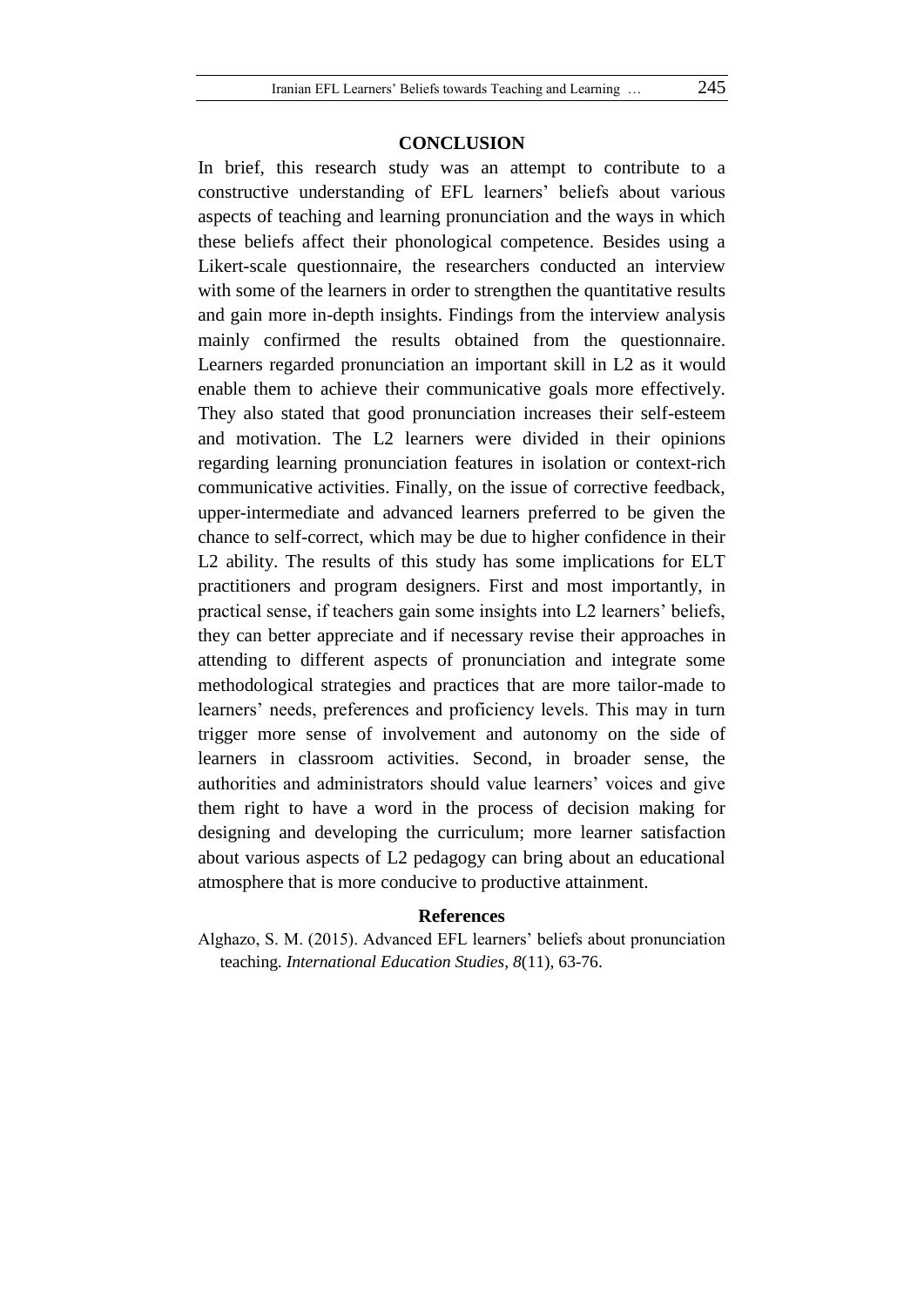#### **CONCLUSION**

In brief, this research study was an attempt to contribute to a constructive understanding of EFL learners' beliefs about various aspects of teaching and learning pronunciation and the ways in which these beliefs affect their phonological competence. Besides using a Likert-scale questionnaire, the researchers conducted an interview with some of the learners in order to strengthen the quantitative results and gain more in-depth insights. Findings from the interview analysis mainly confirmed the results obtained from the questionnaire. Learners regarded pronunciation an important skill in L2 as it would enable them to achieve their communicative goals more effectively. They also stated that good pronunciation increases their self-esteem and motivation. The L2 learners were divided in their opinions regarding learning pronunciation features in isolation or context-rich communicative activities. Finally, on the issue of corrective feedback, upper-intermediate and advanced learners preferred to be given the chance to self-correct, which may be due to higher confidence in their L2 ability. The results of this study has some implications for ELT practitioners and program designers. First and most importantly, in practical sense, if teachers gain some insights into L2 learners' beliefs, they can better appreciate and if necessary revise their approaches in attending to different aspects of pronunciation and integrate some methodological strategies and practices that are more tailor-made to learners' needs, preferences and proficiency levels. This may in turn trigger more sense of involvement and autonomy on the side of learners in classroom activities. Second, in broader sense, the authorities and administrators should value learners' voices and give them right to have a word in the process of decision making for designing and developing the curriculum; more learner satisfaction about various aspects of L2 pedagogy can bring about an educational atmosphere that is more conducive to productive attainment.

#### **References**

Alghazo, S. M. (2015). Advanced EFL learners' beliefs about pronunciation teaching. *International Education Studies, 8*(11), 63-76.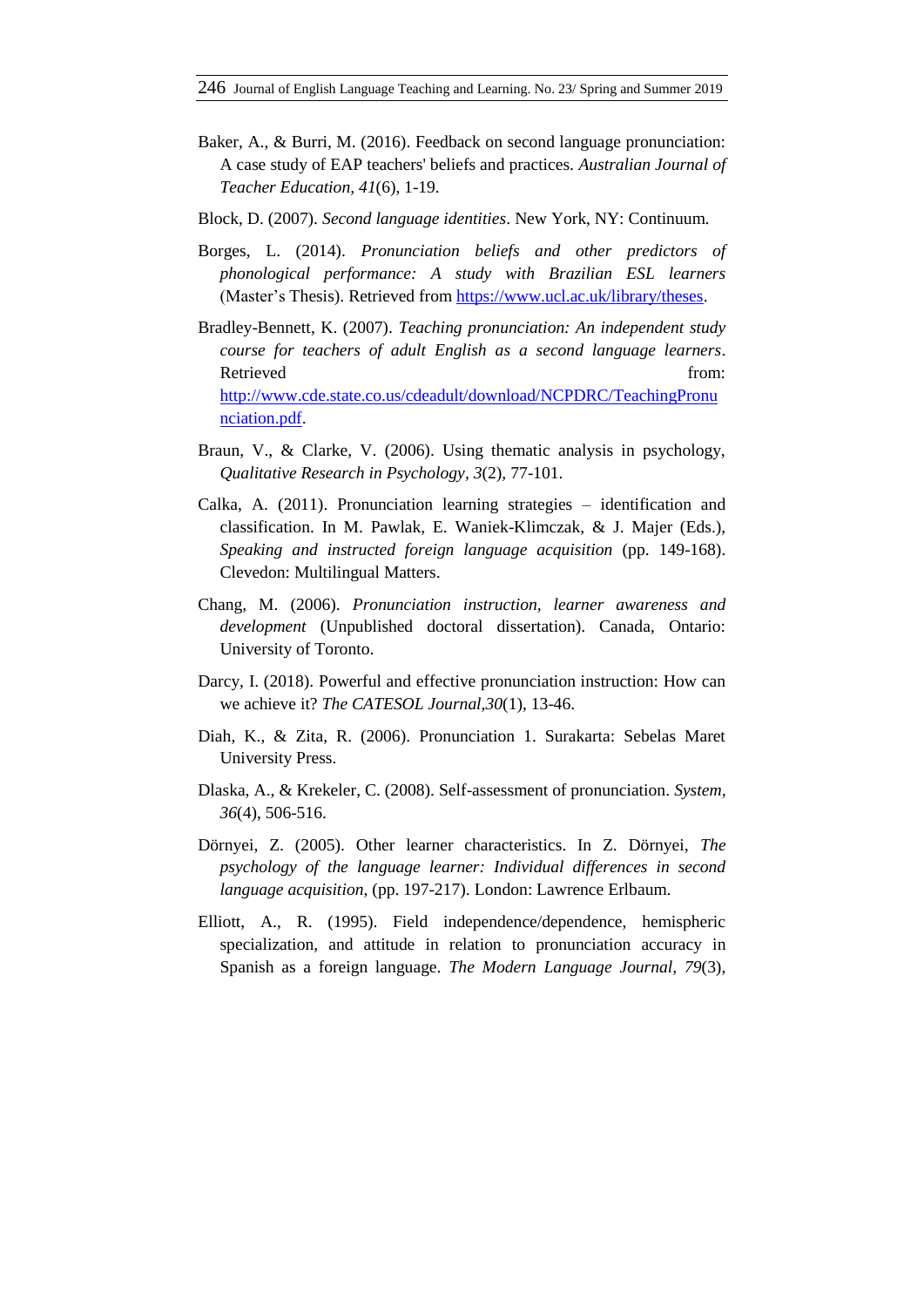- Baker, A., & Burri, M. (2016). Feedback on second language pronunciation: A case study of EAP teachers' beliefs and practices. *Australian Journal of Teacher Education, 41*(6), 1-19.
- Block, D. (2007). *Second language identities*. New York, NY: Continuum.
- Borges, L. (2014). *Pronunciation beliefs and other predictors of phonological performance: A study with Brazilian ESL learners* (Master's Thesis). Retrieved from [https://www.ucl.ac.uk/library/theses.](https://www.ucl.ac.uk/library/theses)
- Bradley-Bennett, K. (2007). *Teaching pronunciation: An independent study course for teachers of adult English as a second language learners*. Retrieved from: [http://www.cde.state.co.us/cdeadult/download/NCPDRC/TeachingPronu](http://www.cde.state.co.us/cdeadult/download/NCPDRC/TeachingPronunciation.pdf) [nciation.pdf.](http://www.cde.state.co.us/cdeadult/download/NCPDRC/TeachingPronunciation.pdf)
- Braun, V., & Clarke, V. (2006). Using thematic analysis in psychology, *Qualitative Research in Psychology*, *3*(2), 77-101.
- Calka, A. (2011). Pronunciation learning strategies identification and classification. In M. Pawlak, E. Waniek-Klimczak, & J. Majer (Eds.), *Speaking and instructed foreign language acquisition* (pp. 149-168). Clevedon: Multilingual Matters.
- Chang, M. (2006). *Pronunciation instruction, learner awareness and development* (Unpublished doctoral dissertation). Canada, Ontario: University of Toronto.
- Darcy, I. (2018). Powerful and effective pronunciation instruction: How can we achieve it? *The CATESOL Journal,30*(1), 13-46.
- Diah, K., & Zita, R. (2006). Pronunciation 1. Surakarta: Sebelas Maret University Press.
- Dlaska, A., & Krekeler, C. (2008). Self-assessment of pronunciation. *System, 36*(4), 506-516.
- Dörnyei, Z. (2005). Other learner characteristics. In Z. Dörnyei, *The psychology of the language learner: Individual differences in second language acquisition*, (pp. 197-217). London: Lawrence Erlbaum.
- Elliott, A., R. (1995). Field independence/dependence, hemispheric specialization, and attitude in relation to pronunciation accuracy in Spanish as a foreign language. *The Modern Language Journal, 79*(3),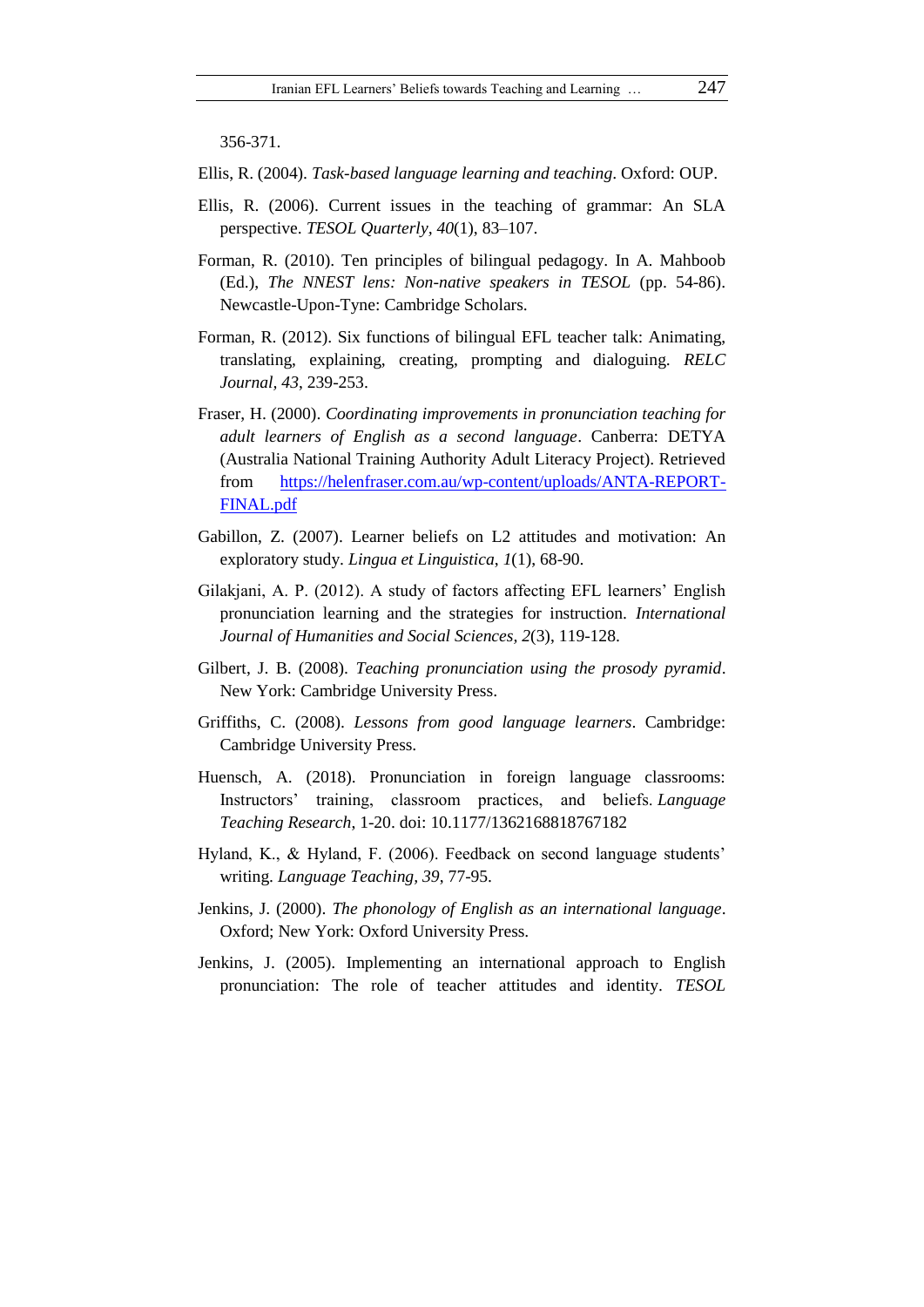356-371.

Ellis, R. (2004). *Task-based language learning and teaching*. Oxford: OUP.

- Ellis, R. (2006). Current issues in the teaching of grammar: An SLA perspective. *TESOL Quarterly, 40*(1), 83–107.
- Forman, R. (2010). Ten principles of bilingual pedagogy. In A. Mahboob (Ed.), *The NNEST lens: Non-native speakers in TESOL* (pp. 54-86). Newcastle-Upon-Tyne: Cambridge Scholars.
- Forman, R. (2012). Six functions of bilingual EFL teacher talk: Animating, translating, explaining, creating, prompting and dialoguing. *RELC Journal, 43*, 239-253.
- Fraser, H. (2000). *Coordinating improvements in pronunciation teaching for adult learners of English as a second language*. Canberra: DETYA (Australia National Training Authority Adult Literacy Project). Retrieved from [https://helenfraser.com.au/wp-content/uploads/ANTA-REPORT-](https://helenfraser.com.au/wp-content/uploads/ANTA-REPORT-FINAL.pdf)[FINAL.pdf](https://helenfraser.com.au/wp-content/uploads/ANTA-REPORT-FINAL.pdf)
- Gabillon, Z. (2007). Learner beliefs on L2 attitudes and motivation: An exploratory study. *Lingua et Linguistica*, *1*(1), 68-90.
- Gilakjani, A. P. (2012). A study of factors affecting EFL learners' English pronunciation learning and the strategies for instruction. *International Journal of Humanities and Social Sciences, 2*(3), 119-128.
- Gilbert, J. B. (2008). *Teaching pronunciation using the prosody pyramid*. New York: Cambridge University Press.
- Griffiths, C. (2008). *Lessons from good language learners*. Cambridge: Cambridge University Press.
- Huensch, A. (2018). Pronunciation in foreign language classrooms: Instructors' training, classroom practices, and beliefs. *Language Teaching Research*, 1-20. doi: 10.1177/1362168818767182
- Hyland, K., & Hyland, F. (2006). Feedback on second language students' writing. *Language Teaching, 39*, 77-95.
- Jenkins, J. (2000). *The phonology of English as an international language*. Oxford; New York: Oxford University Press.
- Jenkins, J. (2005). Implementing an international approach to English pronunciation: The role of teacher attitudes and identity. *TESOL*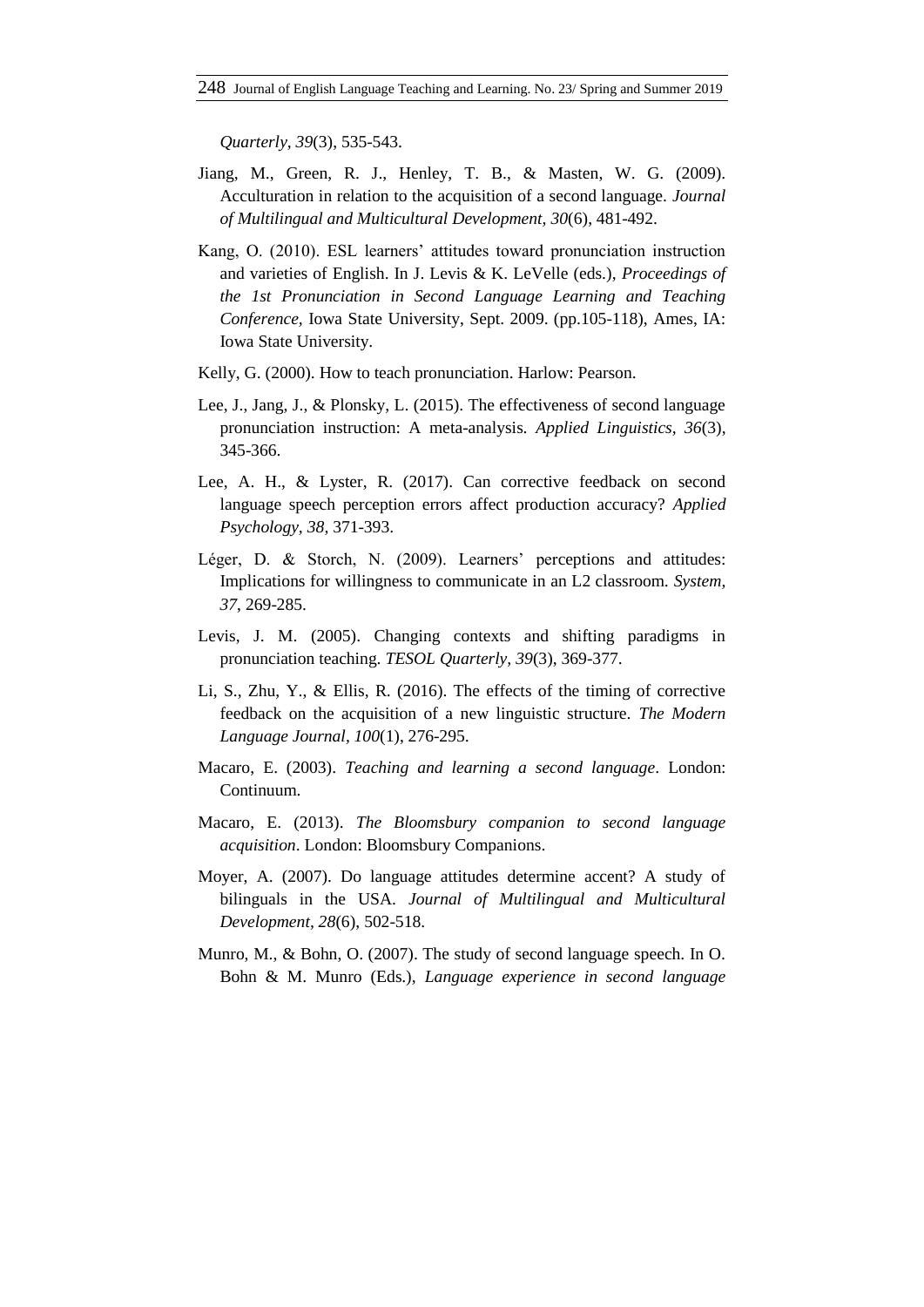*Quarterly, 39*(3), 535-543.

- Jiang, M., Green, R. J., Henley, T. B., & Masten, W. G. (2009). Acculturation in relation to the acquisition of a second language. *Journal of Multilingual and Multicultural Development, 30*(6), 481-492.
- Kang, O. (2010). ESL learners' attitudes toward pronunciation instruction and varieties of English. In J. Levis & K. LeVelle (eds.), *Proceedings of the 1st Pronunciation in Second Language Learning and Teaching Conference,* Iowa State University, Sept. 2009. (pp.105-118), Ames, IA: Iowa State University.
- Kelly, G. (2000). How to teach pronunciation. Harlow: Pearson.
- Lee, J., Jang, J., & Plonsky, L. (2015). The effectiveness of second language pronunciation instruction: A meta-analysis*. Applied Linguistics, 36*(3), 345-366.
- Lee, A. H., & Lyster, R. (2017). Can corrective feedback on second language speech perception errors affect production accuracy? *Applied Psychology, 38*, 371-393.
- Léger, D. & Storch, N. (2009). Learners' perceptions and attitudes: Implications for willingness to communicate in an L2 classroom. *System, 37*, 269-285.
- Levis, J. M. (2005). Changing contexts and shifting paradigms in pronunciation teaching. *TESOL Quarterly, 39*(3), 369-377.
- Li, S., Zhu, Y., & Ellis, R. (2016). The effects of the timing of corrective feedback on the acquisition of a new linguistic structure. *The Modern Language Journal, 100*(1), 276-295.
- Macaro, E. (2003). *Teaching and learning a second language*. London: Continuum.
- Macaro, E. (2013). *The Bloomsbury companion to second language acquisition*. London: Bloomsbury Companions.
- Moyer, A. (2007). Do language attitudes determine accent? A study of bilinguals in the USA. *Journal of Multilingual and Multicultural Development, 28*(6), 502-518.
- Munro, M., & Bohn, O. (2007). The study of second language speech. In O. Bohn & M. Munro (Eds.), *Language experience in second language*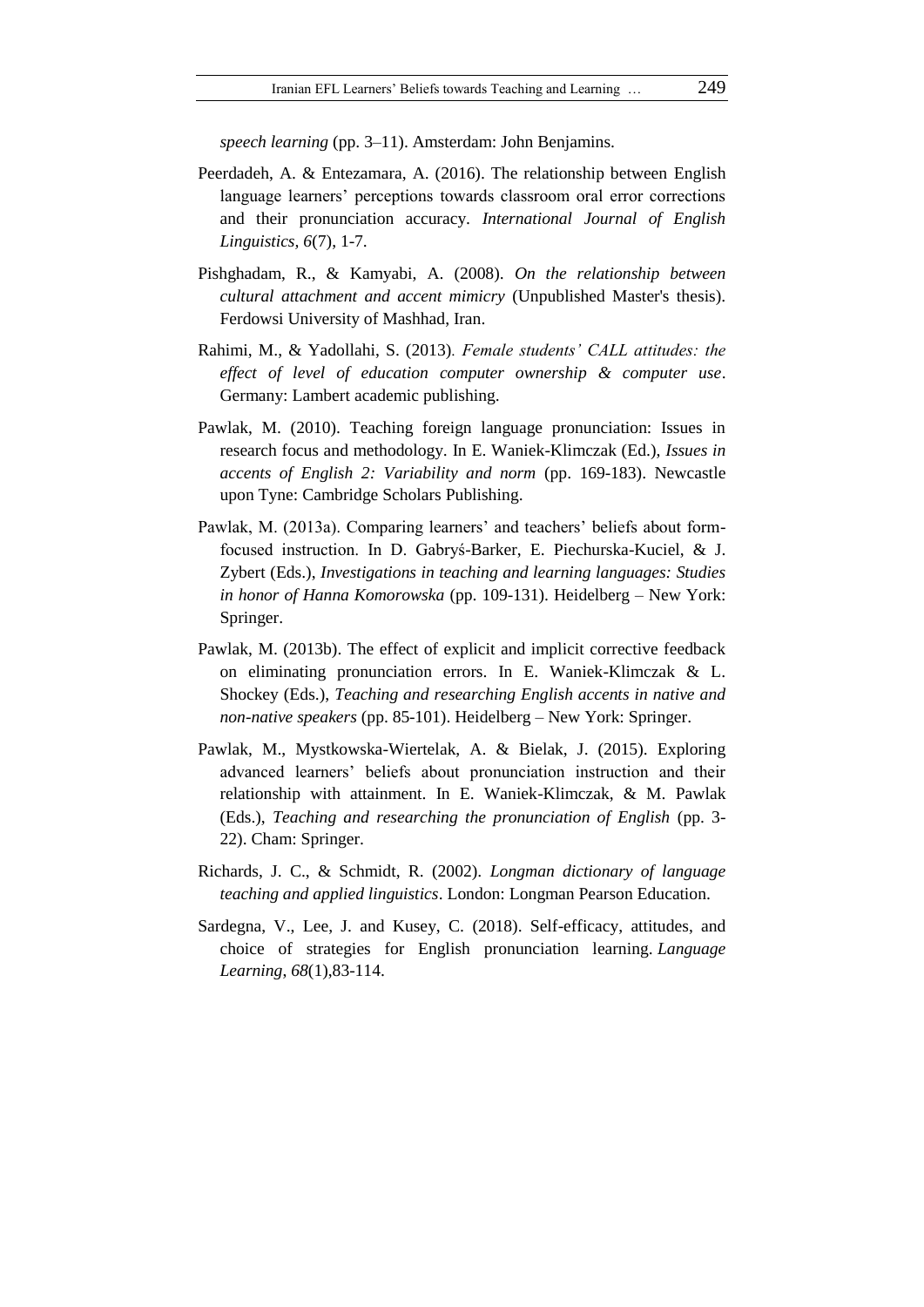*speech learning* (pp. 3–11). Amsterdam: John Benjamins.

- Peerdadeh, A. & Entezamara, A. (2016). The relationship between English language learners' perceptions towards classroom oral error corrections and their pronunciation accuracy. *International Journal of English Linguistics, 6*(7), 1-7.
- Pishghadam, R., & Kamyabi, A. (2008). *On the relationship between cultural attachment and accent mimicry* (Unpublished Master's thesis). Ferdowsi University of Mashhad, Iran.
- Rahimi, M., & Yadollahi, S. (2013)*. Female students' CALL attitudes: the effect of level of education computer ownership & computer use*. Germany: Lambert academic publishing.
- Pawlak, M. (2010). Teaching foreign language pronunciation: Issues in research focus and methodology. In E. Waniek-Klimczak (Ed.), *Issues in accents of English 2: Variability and norm* (pp. 169-183). Newcastle upon Tyne: Cambridge Scholars Publishing.
- Pawlak, M. (2013a). Comparing learners' and teachers' beliefs about formfocused instruction. In D. Gabryś-Barker, E. Piechurska-Kuciel, & J. Zybert (Eds.), *Investigations in teaching and learning languages: Studies in honor of Hanna Komorowska* (pp. 109-131). Heidelberg – New York: Springer.
- Pawlak, M. (2013b). The effect of explicit and implicit corrective feedback on eliminating pronunciation errors. In E. Waniek-Klimczak & L. Shockey (Eds.), *Teaching and researching English accents in native and non-native speakers* (pp. 85-101). Heidelberg – New York: Springer.
- Pawlak, M., Mystkowska-Wiertelak, A. & Bielak, J. (2015). Exploring advanced learners' beliefs about pronunciation instruction and their relationship with attainment. In E. Waniek-Klimczak, & M. Pawlak (Eds.), *Teaching and researching the pronunciation of English* (pp. 3- 22). Cham: Springer.
- Richards, J. C., & Schmidt, R. (2002). *Longman dictionary of language teaching and applied linguistics*. London: Longman Pearson Education.
- Sardegna, V., Lee, J. and Kusey, C. (2018). Self-efficacy, attitudes, and choice of strategies for English pronunciation learning. *Language Learning*, *68*(1),83-114.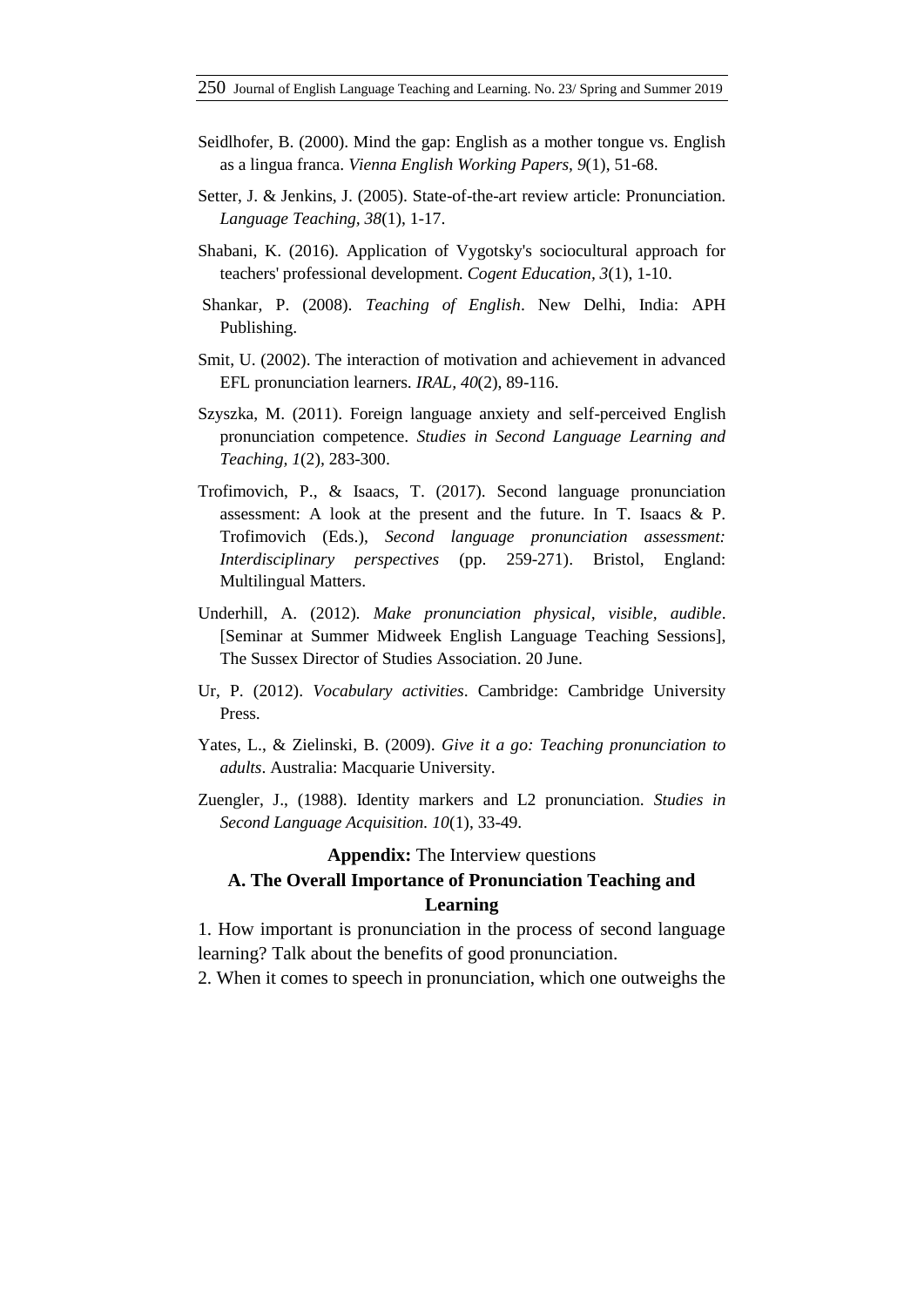- Seidlhofer, B. (2000). Mind the gap: English as a mother tongue vs. English as a lingua franca. *Vienna English Working Papers, 9*(1), 51-68.
- Setter, J. & Jenkins, J. (2005). State-of-the-art review article: Pronunciation*. Language Teaching, 38*(1), 1-17.
- Shabani, K. (2016). Application of Vygotsky's sociocultural approach for teachers' professional development. *Cogent Education, 3*(1), 1-10.
- Shankar, P. (2008). *Teaching of English*. New Delhi, India: APH Publishing.
- Smit, U. (2002). The interaction of motivation and achievement in advanced EFL pronunciation learners. *IRAL, 40*(2), 89-116.
- Szyszka, M. (2011). Foreign language anxiety and self-perceived English pronunciation competence. *Studies in Second Language Learning and Teaching, 1*(2)*,* 283-300.
- Trofimovich, P., & Isaacs, T. (2017). Second language pronunciation assessment: A look at the present and the future. In T. Isaacs & P. Trofimovich (Eds.), *Second language pronunciation assessment: Interdisciplinary perspectives* (pp. 259-271). Bristol, England: Multilingual Matters.
- Underhill, A. (2012). *Make pronunciation physical, visible, audible*. [Seminar at Summer Midweek English Language Teaching Sessions], The Sussex Director of Studies Association. 20 June.
- Ur, P. (2012). *Vocabulary activities*. Cambridge: Cambridge University Press.
- Yates, L., & Zielinski, B. (2009). *Give it a go: Teaching pronunciation to adults*. Australia: Macquarie University.
- Zuengler, J., (1988). Identity markers and L2 pronunciation. *Studies in Second Language Acquisition. 10*(1), 33-49.

#### **Appendix:** The Interview questions

# **A. The Overall Importance of Pronunciation Teaching and Learning**

1. How important is pronunciation in the process of second language learning? Talk about the benefits of good pronunciation.

2. When it comes to speech in pronunciation, which one outweighs the